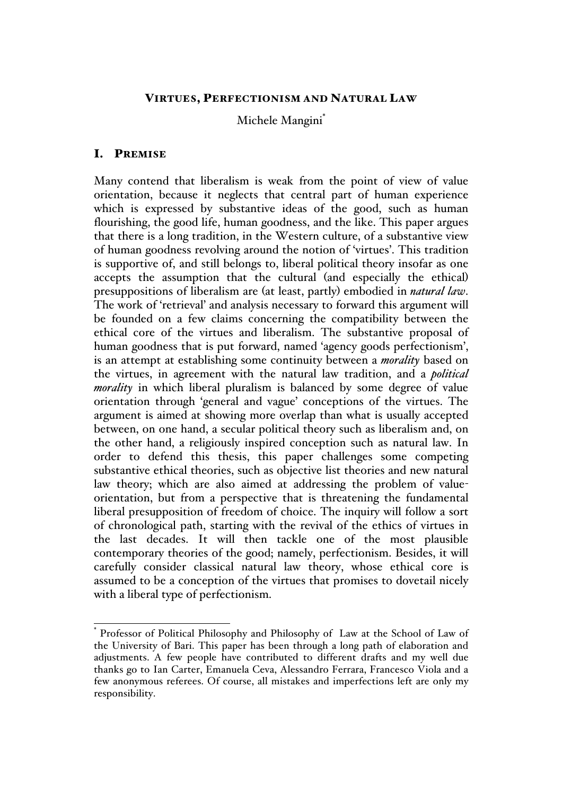## VIRTUES, PERFECTIONISM AND NATURAL LAW

Michele Mangini\*

## I. PREMISE

Many contend that liberalism is weak from the point of view of value orientation, because it neglects that central part of human experience which is expressed by substantive ideas of the good, such as human flourishing, the good life, human goodness, and the like. This paper argues that there is a long tradition, in the Western culture, of a substantive view of human goodness revolving around the notion of 'virtues'. This tradition is supportive of, and still belongs to, liberal political theory insofar as one accepts the assumption that the cultural (and especially the ethical) presuppositions of liberalism are (at least, partly) embodied in *natural law*. The work of 'retrieval' and analysis necessary to forward this argument will be founded on a few claims concerning the compatibility between the ethical core of the virtues and liberalism. The substantive proposal of human goodness that is put forward, named 'agency goods perfectionism', is an attempt at establishing some continuity between a *morality* based on the virtues, in agreement with the natural law tradition, and a *political morality* in which liberal pluralism is balanced by some degree of value orientation through 'general and vague' conceptions of the virtues. The argument is aimed at showing more overlap than what is usually accepted between, on one hand, a secular political theory such as liberalism and, on the other hand, a religiously inspired conception such as natural law. In order to defend this thesis, this paper challenges some competing substantive ethical theories, such as objective list theories and new natural law theory; which are also aimed at addressing the problem of valueorientation, but from a perspective that is threatening the fundamental liberal presupposition of freedom of choice. The inquiry will follow a sort of chronological path, starting with the revival of the ethics of virtues in the last decades. It will then tackle one of the most plausible contemporary theories of the good; namely, perfectionism. Besides, it will carefully consider classical natural law theory, whose ethical core is assumed to be a conception of the virtues that promises to dovetail nicely with a liberal type of perfectionism.

 <sup>\*</sup> Professor of Political Philosophy and Philosophy of Law at the School of Law of the University of Bari. This paper has been through a long path of elaboration and adjustments. A few people have contributed to different drafts and my well due thanks go to Ian Carter, Emanuela Ceva, Alessandro Ferrara, Francesco Viola and a few anonymous referees. Of course, all mistakes and imperfections left are only my responsibility.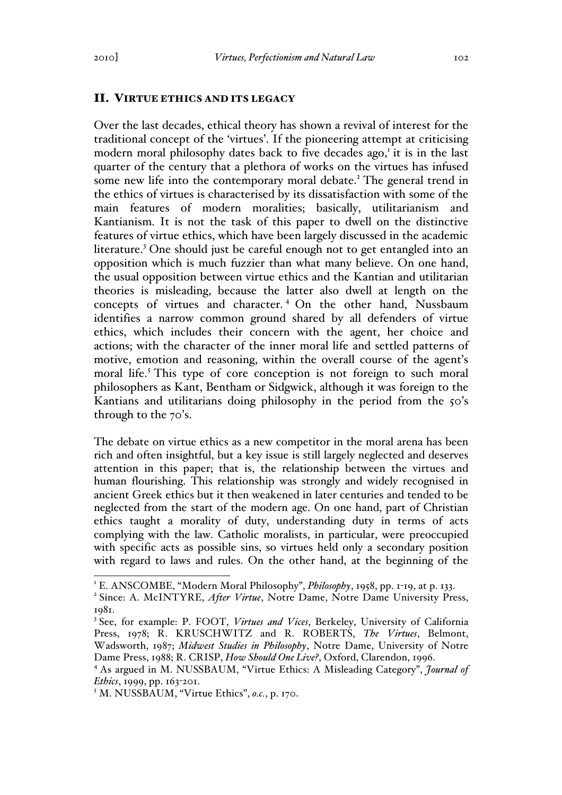### II. VIRTUE ETHICS AND ITS LEGACY

Over the last decades, ethical theory has shown a revival of interest for the traditional concept of the 'virtues'. If the pioneering attempt at criticising modern moral philosophy dates back to five decades ago,<sup>1</sup> it is in the last quarter of the century that a plethora of works on the virtues has infused some new life into the contemporary moral debate.<sup>2</sup> The general trend in the ethics of virtues is characterised by its dissatisfaction with some of the main features of modern moralities; basically, utilitarianism and Kantianism. It is not the task of this paper to dwell on the distinctive features of virtue ethics, which have been largely discussed in the academic literature.<sup>3</sup> One should just be careful enough not to get entangled into an opposition which is much fuzzier than what many believe. On one hand, the usual opposition between virtue ethics and the Kantian and utilitarian theories is misleading, because the latter also dwell at length on the concepts of virtues and character. <sup>4</sup> On the other hand, Nussbaum identifies a narrow common ground shared by all defenders of virtue ethics, which includes their concern with the agent, her choice and actions; with the character of the inner moral life and settled patterns of motive, emotion and reasoning, within the overall course of the agent's moral life.<sup>5</sup> This type of core conception is not foreign to such moral philosophers as Kant, Bentham or Sidgwick, although it was foreign to the Kantians and utilitarians doing philosophy in the period from the 50's through to the 70's.

The debate on virtue ethics as a new competitor in the moral arena has been rich and often insightful, but a key issue is still largely neglected and deserves attention in this paper; that is, the relationship between the virtues and human flourishing. This relationship was strongly and widely recognised in ancient Greek ethics but it then weakened in later centuries and tended to be neglected from the start of the modern age. On one hand, part of Christian ethics taught a morality of duty, understanding duty in terms of acts complying with the law. Catholic moralists, in particular, were preoccupied with specific acts as possible sins, so virtues held only a secondary position with regard to laws and rules. On the other hand, at the beginning of the

<sup>&</sup>lt;sup>1</sup> E. ANSCOMBE, "Modern Moral Philosophy", *Philosophy*, 1958, pp. 1-19, at p. 133.<br><sup>2</sup> Since: A. McINTYRE, *After Virtue*, Notre Dame, Notre Dame University Press, 1981.

<sup>3</sup> See, for example: P. FOOT, *Virtues and Vices*, Berkeley, University of California Press, 1978; R. KRUSCHWITZ and R. ROBERTS, *The Virtues*, Belmont, Wadsworth, 1987; *Midwest Studies in Philosophy*, Notre Dame, University of Notre Dame Press, 1988; R. CRISP, *How Should One Live?*, Oxford, Clarendon, 1996.

<sup>4</sup> As argued in M. NUSSBAUM, "Virtue Ethics: A Misleading Category", *Journal of Ethics*, 1999, pp. 163-201.

<sup>5</sup> M. NUSSBAUM, "Virtue Ethics", *o.c.*, p. 170.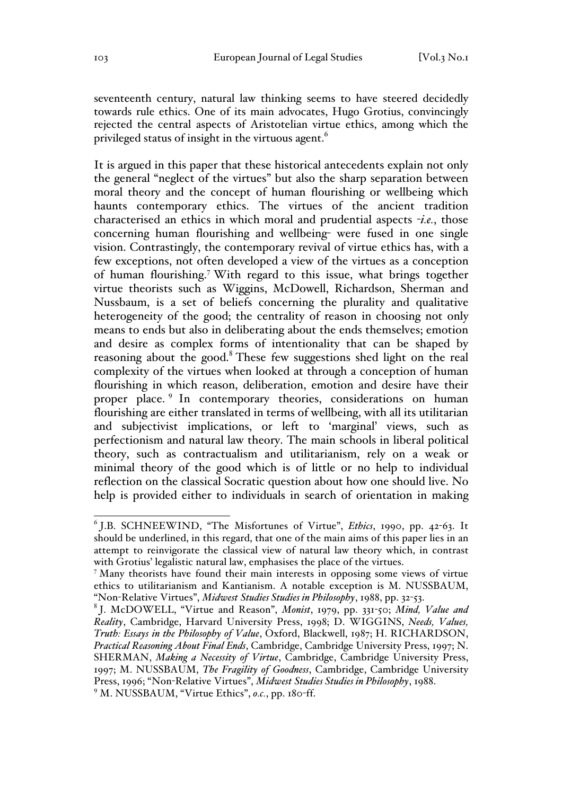seventeenth century, natural law thinking seems to have steered decidedly towards rule ethics. One of its main advocates, Hugo Grotius, convincingly rejected the central aspects of Aristotelian virtue ethics, among which the privileged status of insight in the virtuous agent.<sup>6</sup>

It is argued in this paper that these historical antecedents explain not only the general "neglect of the virtues" but also the sharp separation between moral theory and the concept of human flourishing or wellbeing which haunts contemporary ethics. The virtues of the ancient tradition characterised an ethics in which moral and prudential aspects -*i.e.*, those concerning human flourishing and wellbeing- were fused in one single vision. Contrastingly, the contemporary revival of virtue ethics has, with a few exceptions, not often developed a view of the virtues as a conception of human flourishing.<sup>7</sup> With regard to this issue, what brings together virtue theorists such as Wiggins, McDowell, Richardson, Sherman and Nussbaum, is a set of beliefs concerning the plurality and qualitative heterogeneity of the good; the centrality of reason in choosing not only means to ends but also in deliberating about the ends themselves; emotion and desire as complex forms of intentionality that can be shaped by reasoning about the good.<sup>8</sup> These few suggestions shed light on the real complexity of the virtues when looked at through a conception of human flourishing in which reason, deliberation, emotion and desire have their proper place. <sup>9</sup> In contemporary theories, considerations on human flourishing are either translated in terms of wellbeing, with all its utilitarian and subjectivist implications, or left to 'marginal' views, such as perfectionism and natural law theory. The main schools in liberal political theory, such as contractualism and utilitarianism, rely on a weak or minimal theory of the good which is of little or no help to individual reflection on the classical Socratic question about how one should live. No help is provided either to individuals in search of orientation in making

 <sup>6</sup> J.B. SCHNEEWIND, "The Misfortunes of Virtue", *Ethics*, 1990, pp. 42-63. It should be underlined, in this regard, that one of the main aims of this paper lies in an attempt to reinvigorate the classical view of natural law theory which, in contrast with Grotius' legalistic natural law, emphasises the place of the virtues.

 $<sup>7</sup>$  Many theorists have found their main interests in opposing some views of virtue</sup> ethics to utilitarianism and Kantianism. A notable exception is M. NUSSBAUM, "Non-Relative Virtues", *Midwest Studies Studies in Philosophy*, 1988, pp. 32-53.

<sup>8</sup> J. McDOWELL, "Virtue and Reason", *Monist*, 1979, pp. 331-50; *Mind, Value and Reality*, Cambridge, Harvard University Press, 1998; D. WIGGINS, *Needs, Values, Truth: Essays in the Philosophy of Value*, Oxford, Blackwell, 1987; H. RICHARDSON, *Practical Reasoning About Final Ends*, Cambridge, Cambridge University Press, 1997; N. SHERMAN, *Making a Necessity of Virtue*, Cambridge, Cambridge University Press, 1997; M. NUSSBAUM, *The Fragility of Goodness*, Cambridge, Cambridge University Press, 1996; "Non-Relative Virtues", *Midwest Studies Studies in Philosophy*, 1988.

<sup>9</sup> M. NUSSBAUM, "Virtue Ethics", *o.c.*, pp. 180-ff.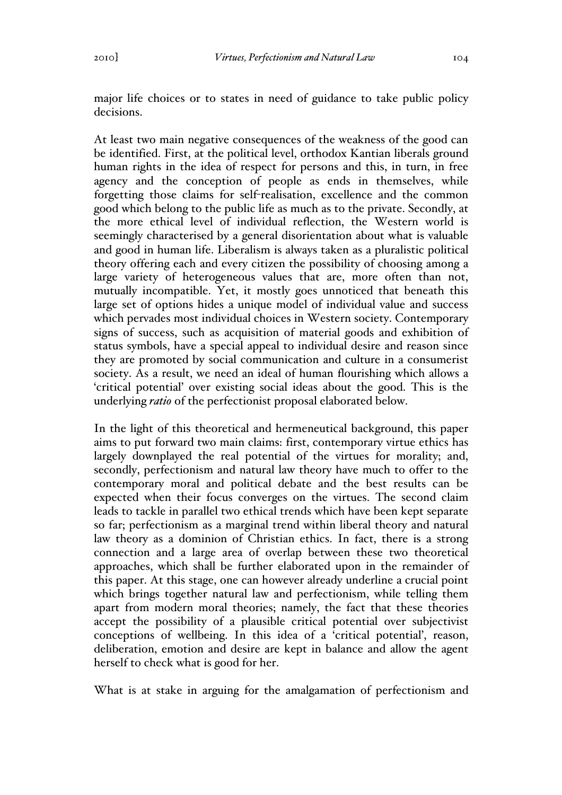major life choices or to states in need of guidance to take public policy decisions.

At least two main negative consequences of the weakness of the good can be identified. First, at the political level, orthodox Kantian liberals ground human rights in the idea of respect for persons and this, in turn, in free agency and the conception of people as ends in themselves, while forgetting those claims for self-realisation, excellence and the common good which belong to the public life as much as to the private. Secondly, at the more ethical level of individual reflection, the Western world is seemingly characterised by a general disorientation about what is valuable and good in human life. Liberalism is always taken as a pluralistic political theory offering each and every citizen the possibility of choosing among a large variety of heterogeneous values that are, more often than not, mutually incompatible. Yet, it mostly goes unnoticed that beneath this large set of options hides a unique model of individual value and success which pervades most individual choices in Western society. Contemporary signs of success, such as acquisition of material goods and exhibition of status symbols, have a special appeal to individual desire and reason since they are promoted by social communication and culture in a consumerist society. As a result, we need an ideal of human flourishing which allows a 'critical potential' over existing social ideas about the good. This is the underlying *ratio* of the perfectionist proposal elaborated below.

In the light of this theoretical and hermeneutical background, this paper aims to put forward two main claims: first, contemporary virtue ethics has largely downplayed the real potential of the virtues for morality; and, secondly, perfectionism and natural law theory have much to offer to the contemporary moral and political debate and the best results can be expected when their focus converges on the virtues. The second claim leads to tackle in parallel two ethical trends which have been kept separate so far; perfectionism as a marginal trend within liberal theory and natural law theory as a dominion of Christian ethics. In fact, there is a strong connection and a large area of overlap between these two theoretical approaches, which shall be further elaborated upon in the remainder of this paper. At this stage, one can however already underline a crucial point which brings together natural law and perfectionism, while telling them apart from modern moral theories; namely, the fact that these theories accept the possibility of a plausible critical potential over subjectivist conceptions of wellbeing. In this idea of a 'critical potential', reason, deliberation, emotion and desire are kept in balance and allow the agent herself to check what is good for her.

What is at stake in arguing for the amalgamation of perfectionism and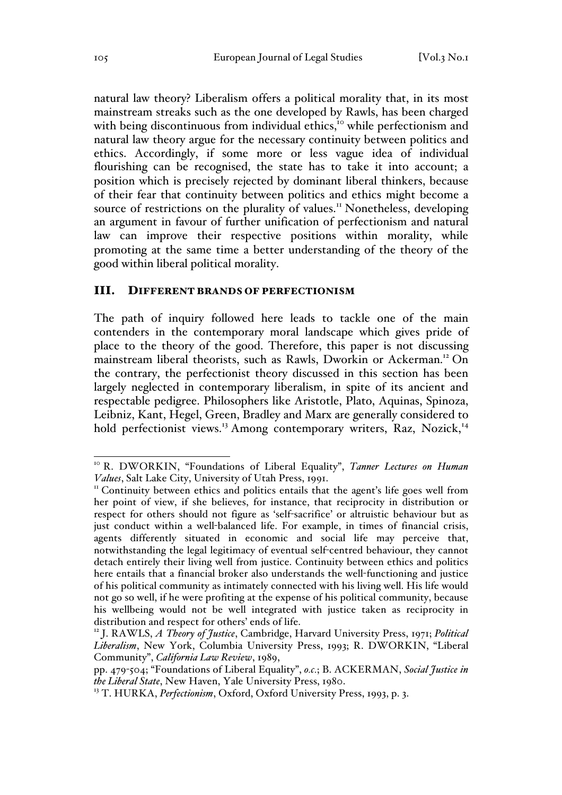natural law theory? Liberalism offers a political morality that, in its most mainstream streaks such as the one developed by Rawls, has been charged with being discontinuous from individual ethics,<sup>10</sup> while perfectionism and natural law theory argue for the necessary continuity between politics and ethics. Accordingly, if some more or less vague idea of individual flourishing can be recognised, the state has to take it into account; a position which is precisely rejected by dominant liberal thinkers, because of their fear that continuity between politics and ethics might become a source of restrictions on the plurality of values.<sup>11</sup> Nonetheless, developing an argument in favour of further unification of perfectionism and natural law can improve their respective positions within morality, while promoting at the same time a better understanding of the theory of the good within liberal political morality.

#### III. DIFFERENT BRANDS OF PERFECTIONISM

The path of inquiry followed here leads to tackle one of the main contenders in the contemporary moral landscape which gives pride of place to the theory of the good. Therefore, this paper is not discussing mainstream liberal theorists, such as Rawls, Dworkin or Ackerman.12 On the contrary, the perfectionist theory discussed in this section has been largely neglected in contemporary liberalism, in spite of its ancient and respectable pedigree. Philosophers like Aristotle, Plato, Aquinas, Spinoza, Leibniz, Kant, Hegel, Green, Bradley and Marx are generally considered to hold perfectionist views.<sup>13</sup> Among contemporary writers, Raz, Nozick,<sup>14</sup>

 <sup>10</sup> R. DWORKIN, "Foundations of Liberal Equality", *Tanner Lectures on Human Values*, Salt Lake City, University of Utah Press, 1991.<br><sup>11</sup> Continuity between ethics and politics entails that the agent's life goes well from

her point of view, if she believes, for instance, that reciprocity in distribution or respect for others should not figure as 'self-sacrifice' or altruistic behaviour but as just conduct within a well-balanced life. For example, in times of financial crisis, agents differently situated in economic and social life may perceive that, notwithstanding the legal legitimacy of eventual self-centred behaviour, they cannot detach entirely their living well from justice. Continuity between ethics and politics here entails that a financial broker also understands the well-functioning and justice of his political community as intimately connected with his living well. His life would not go so well, if he were profiting at the expense of his political community, because his wellbeing would not be well integrated with justice taken as reciprocity in distribution and respect for others' ends of life.

<sup>12</sup> J. RAWLS, *A Theory of Justice*, Cambridge, Harvard University Press, 1971; *Political Liberalism*, New York, Columbia University Press, 1993; R. DWORKIN, "Liberal Community", *California Law Review*, 1989,

pp. 479-504; "Foundations of Liberal Equality", *o.c.*; B. ACKERMAN, *Social Justice in the Liberal State*, New Haven, Yale University Press, 1980.

<sup>&</sup>lt;sup>13</sup> T. HURKA, *Perfectionism*, Oxford, Oxford University Press, 1993, p. 3.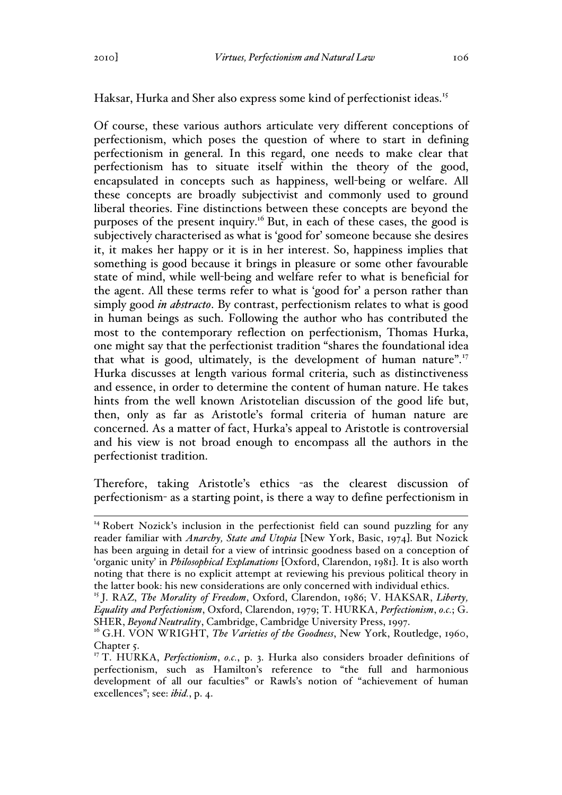Haksar, Hurka and Sher also express some kind of perfectionist ideas.<sup>15</sup>

Of course, these various authors articulate very different conceptions of perfectionism, which poses the question of where to start in defining perfectionism in general. In this regard, one needs to make clear that perfectionism has to situate itself within the theory of the good, encapsulated in concepts such as happiness, well-being or welfare. All these concepts are broadly subjectivist and commonly used to ground liberal theories. Fine distinctions between these concepts are beyond the purposes of the present inquiry.16 But, in each of these cases, the good is subjectively characterised as what is 'good for' someone because she desires it, it makes her happy or it is in her interest. So, happiness implies that something is good because it brings in pleasure or some other favourable state of mind, while well-being and welfare refer to what is beneficial for the agent. All these terms refer to what is 'good for' a person rather than simply good *in abstracto*. By contrast, perfectionism relates to what is good in human beings as such. Following the author who has contributed the most to the contemporary reflection on perfectionism, Thomas Hurka, one might say that the perfectionist tradition "shares the foundational idea that what is good, ultimately, is the development of human nature".<sup>17</sup> Hurka discusses at length various formal criteria, such as distinctiveness and essence, in order to determine the content of human nature. He takes hints from the well known Aristotelian discussion of the good life but, then, only as far as Aristotle's formal criteria of human nature are concerned. As a matter of fact, Hurka's appeal to Aristotle is controversial and his view is not broad enough to encompass all the authors in the perfectionist tradition.

Therefore, taking Aristotle's ethics -as the clearest discussion of perfectionism- as a starting point, is there a way to define perfectionism in

<sup>&</sup>lt;sup>14</sup> Robert Nozick's inclusion in the perfectionist field can sound puzzling for any reader familiar with *Anarchy, State and Utopia* [New York, Basic, 1974]. But Nozick has been arguing in detail for a view of intrinsic goodness based on a conception of 'organic unity' in *Philosophical Explanations* [Oxford, Clarendon, 1981]. It is also worth noting that there is no explicit attempt at reviewing his previous political theory in the latter book: his new considerations are only concerned with individual ethics.

<sup>15</sup> J. RAZ, *The Morality of Freedom*, Oxford, Clarendon, 1986; V. HAKSAR, *Liberty, Equality and Perfectionism*, Oxford, Clarendon, 1979; T. HURKA, *Perfectionism*, *o.c.*; G.

SHER, *Beyond Neutrality*, Cambridge, Cambridge University Press, 1997.<br><sup>16</sup> G.H. VON WRIGHT, *The Varieties of the Goodness*, New York, Routledge, 1960, Chapter<sub>5</sub>.

<sup>&</sup>lt;sup>17</sup> T. HURKA, *Perfectionism*, *o.c.*, p. 3. Hurka also considers broader definitions of perfectionism, such as Hamilton's reference to "the full and harmonious development of all our faculties" or Rawls's notion of "achievement of human excellences"; see: *ibid.*, p. 4.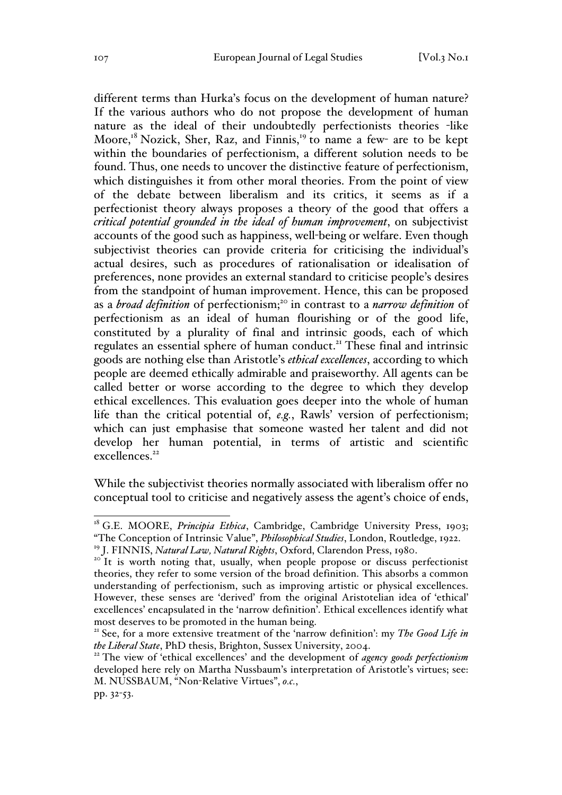different terms than Hurka's focus on the development of human nature? If the various authors who do not propose the development of human nature as the ideal of their undoubtedly perfectionists theories -like Moore,<sup>18</sup> Nozick, Sher, Raz, and Finnis,<sup>19</sup> to name a few- are to be kept within the boundaries of perfectionism, a different solution needs to be found. Thus, one needs to uncover the distinctive feature of perfectionism, which distinguishes it from other moral theories. From the point of view of the debate between liberalism and its critics, it seems as if a perfectionist theory always proposes a theory of the good that offers a *critical potential grounded in the ideal of human improvement*, on subjectivist accounts of the good such as happiness, well-being or welfare. Even though subjectivist theories can provide criteria for criticising the individual's actual desires, such as procedures of rationalisation or idealisation of preferences, none provides an external standard to criticise people's desires from the standpoint of human improvement. Hence, this can be proposed as a *broad definition* of perfectionism;20 in contrast to a *narrow definition* of perfectionism as an ideal of human flourishing or of the good life, constituted by a plurality of final and intrinsic goods, each of which regulates an essential sphere of human conduct.<sup>21</sup> These final and intrinsic goods are nothing else than Aristotle's *ethical excellences*, according to which people are deemed ethically admirable and praiseworthy. All agents can be called better or worse according to the degree to which they develop ethical excellences. This evaluation goes deeper into the whole of human life than the critical potential of, *e.g.*, Rawls' version of perfectionism; which can just emphasise that someone wasted her talent and did not develop her human potential, in terms of artistic and scientific  $excellences.<sup>22</sup>$ 

While the subjectivist theories normally associated with liberalism offer no conceptual tool to criticise and negatively assess the agent's choice of ends,

<sup>&</sup>lt;sup>18</sup> G.E. MOORE, *Principia Ethica*, Cambridge, Cambridge University Press, 1903; "The Conception of Intrinsic Value", *Philosophical Studies*, London, Routledge, 1922.

<sup>&</sup>lt;sup>20</sup> It is worth noting that, usually, when people propose or discuss perfectionist theories, they refer to some version of the broad definition. This absorbs a common understanding of perfectionism, such as improving artistic or physical excellences. However, these senses are 'derived' from the original Aristotelian idea of 'ethical' excellences' encapsulated in the 'narrow definition'. Ethical excellences identify what most deserves to be promoted in the human being.

<sup>&</sup>lt;sup>21</sup> See, for a more extensive treatment of the 'narrow definition': my *The Good Life in the Liberal State*, PhD thesis, Brighton, Sussex University, 2004.

<sup>&</sup>lt;sup>22</sup> The view of 'ethical excellences' and the development of *agency goods perfectionism* developed here rely on Martha Nussbaum's interpretation of Aristotle's virtues; see: M. NUSSBAUM, "Non-Relative Virtues", *o.c.*,

pp. 32-53.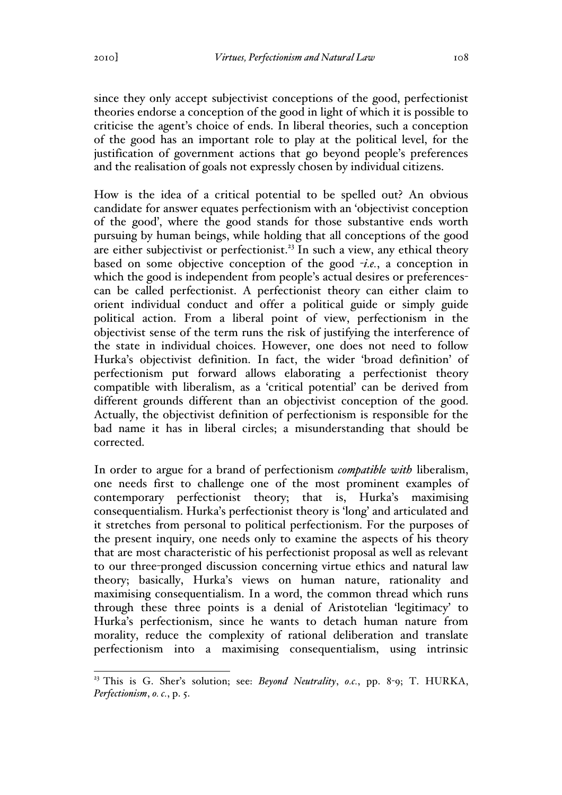since they only accept subjectivist conceptions of the good, perfectionist theories endorse a conception of the good in light of which it is possible to criticise the agent's choice of ends. In liberal theories, such a conception of the good has an important role to play at the political level, for the justification of government actions that go beyond people's preferences and the realisation of goals not expressly chosen by individual citizens.

How is the idea of a critical potential to be spelled out? An obvious candidate for answer equates perfectionism with an 'objectivist conception of the good', where the good stands for those substantive ends worth pursuing by human beings, while holding that all conceptions of the good are either subjectivist or perfectionist.<sup>23</sup> In such a view, any ethical theory based on some objective conception of the good -*i.e.*, a conception in which the good is independent from people's actual desires or preferencescan be called perfectionist. A perfectionist theory can either claim to orient individual conduct and offer a political guide or simply guide political action. From a liberal point of view, perfectionism in the objectivist sense of the term runs the risk of justifying the interference of the state in individual choices. However, one does not need to follow Hurka's objectivist definition. In fact, the wider 'broad definition' of perfectionism put forward allows elaborating a perfectionist theory compatible with liberalism, as a 'critical potential' can be derived from different grounds different than an objectivist conception of the good. Actually, the objectivist definition of perfectionism is responsible for the bad name it has in liberal circles; a misunderstanding that should be corrected.

In order to argue for a brand of perfectionism *compatible with* liberalism, one needs first to challenge one of the most prominent examples of contemporary perfectionist theory; that is, Hurka's maximising consequentialism. Hurka's perfectionist theory is 'long' and articulated and it stretches from personal to political perfectionism. For the purposes of the present inquiry, one needs only to examine the aspects of his theory that are most characteristic of his perfectionist proposal as well as relevant to our three-pronged discussion concerning virtue ethics and natural law theory; basically, Hurka's views on human nature, rationality and maximising consequentialism. In a word, the common thread which runs through these three points is a denial of Aristotelian 'legitimacy' to Hurka's perfectionism, since he wants to detach human nature from morality, reduce the complexity of rational deliberation and translate perfectionism into a maximising consequentialism, using intrinsic

 <sup>23</sup> This is G. Sher's solution; see: *Beyond Neutrality*, *o.c.*, pp. 8-9; T. HURKA, *Perfectionism*, *o. c.*, p. 5.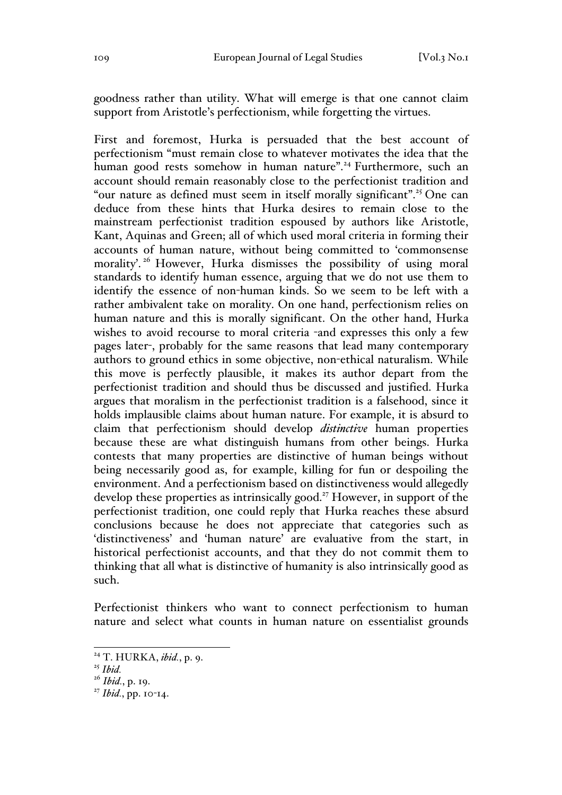goodness rather than utility. What will emerge is that one cannot claim support from Aristotle's perfectionism, while forgetting the virtues.

First and foremost, Hurka is persuaded that the best account of perfectionism "must remain close to whatever motivates the idea that the human good rests somehow in human nature".<sup>24</sup> Furthermore, such an account should remain reasonably close to the perfectionist tradition and "our nature as defined must seem in itself morally significant".<sup>25</sup> One can deduce from these hints that Hurka desires to remain close to the mainstream perfectionist tradition espoused by authors like Aristotle, Kant, Aquinas and Green; all of which used moral criteria in forming their accounts of human nature, without being committed to 'commonsense morality'.<sup>26</sup> However, Hurka dismisses the possibility of using moral standards to identify human essence, arguing that we do not use them to identify the essence of non-human kinds. So we seem to be left with a rather ambivalent take on morality. On one hand, perfectionism relies on human nature and this is morally significant. On the other hand, Hurka wishes to avoid recourse to moral criteria -and expresses this only a few pages later-, probably for the same reasons that lead many contemporary authors to ground ethics in some objective, non-ethical naturalism. While this move is perfectly plausible, it makes its author depart from the perfectionist tradition and should thus be discussed and justified. Hurka argues that moralism in the perfectionist tradition is a falsehood, since it holds implausible claims about human nature. For example, it is absurd to claim that perfectionism should develop *distinctive* human properties because these are what distinguish humans from other beings. Hurka contests that many properties are distinctive of human beings without being necessarily good as, for example, killing for fun or despoiling the environment. And a perfectionism based on distinctiveness would allegedly develop these properties as intrinsically good.<sup>27</sup> However, in support of the perfectionist tradition, one could reply that Hurka reaches these absurd conclusions because he does not appreciate that categories such as 'distinctiveness' and 'human nature' are evaluative from the start, in historical perfectionist accounts, and that they do not commit them to thinking that all what is distinctive of humanity is also intrinsically good as such.

Perfectionist thinkers who want to connect perfectionism to human nature and select what counts in human nature on essentialist grounds

 <sup>24</sup> T. HURKA, *ibid.*, p. 9.

<sup>25</sup> *Ibid.*

<sup>26</sup> *Ibid.*, p. 19.

<sup>27</sup> *Ibid.*, pp. 10-14.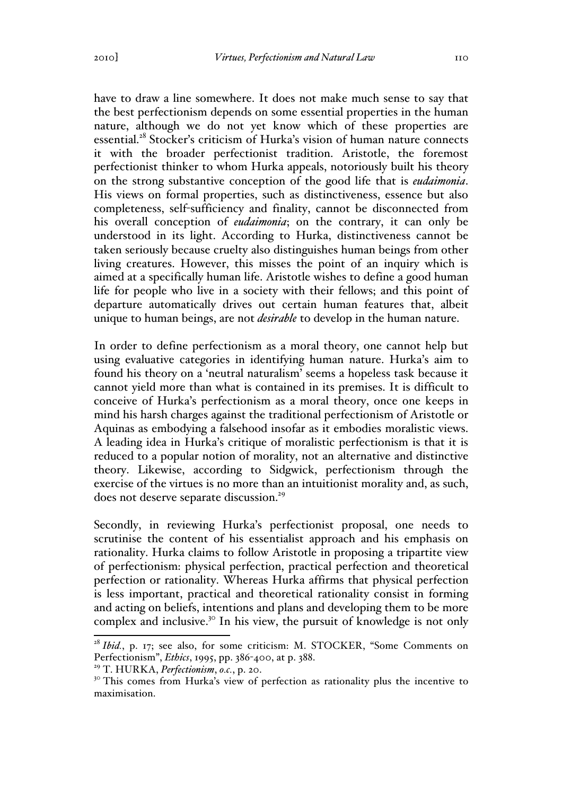have to draw a line somewhere. It does not make much sense to say that the best perfectionism depends on some essential properties in the human nature, although we do not yet know which of these properties are essential.<sup>28</sup> Stocker's criticism of Hurka's vision of human nature connects it with the broader perfectionist tradition. Aristotle, the foremost perfectionist thinker to whom Hurka appeals, notoriously built his theory on the strong substantive conception of the good life that is *eudaimonia*. His views on formal properties, such as distinctiveness, essence but also completeness, self-sufficiency and finality, cannot be disconnected from his overall conception of *eudaimonia*; on the contrary, it can only be understood in its light. According to Hurka, distinctiveness cannot be taken seriously because cruelty also distinguishes human beings from other living creatures. However, this misses the point of an inquiry which is aimed at a specifically human life. Aristotle wishes to define a good human life for people who live in a society with their fellows; and this point of departure automatically drives out certain human features that, albeit unique to human beings, are not *desirable* to develop in the human nature.

In order to define perfectionism as a moral theory, one cannot help but using evaluative categories in identifying human nature. Hurka's aim to found his theory on a 'neutral naturalism' seems a hopeless task because it cannot yield more than what is contained in its premises. It is difficult to conceive of Hurka's perfectionism as a moral theory, once one keeps in mind his harsh charges against the traditional perfectionism of Aristotle or Aquinas as embodying a falsehood insofar as it embodies moralistic views. A leading idea in Hurka's critique of moralistic perfectionism is that it is reduced to a popular notion of morality, not an alternative and distinctive theory. Likewise, according to Sidgwick, perfectionism through the exercise of the virtues is no more than an intuitionist morality and, as such, does not deserve separate discussion.<sup>29</sup>

Secondly, in reviewing Hurka's perfectionist proposal, one needs to scrutinise the content of his essentialist approach and his emphasis on rationality. Hurka claims to follow Aristotle in proposing a tripartite view of perfectionism: physical perfection, practical perfection and theoretical perfection or rationality. Whereas Hurka affirms that physical perfection is less important, practical and theoretical rationality consist in forming and acting on beliefs, intentions and plans and developing them to be more complex and inclusive.30 In his view, the pursuit of knowledge is not only

<sup>&</sup>lt;sup>28</sup> *Ibid.*, p. 17; see also, for some criticism: M. STOCKER, "Some Comments on Perfectionism", *Ethics*, 1995, pp. 386-400, at p. 388.

<sup>29</sup> T. HURKA, *Perfectionism*, *o.c.*, p. 20.

<sup>&</sup>lt;sup>30</sup> This comes from Hurka's view of perfection as rationality plus the incentive to maximisation.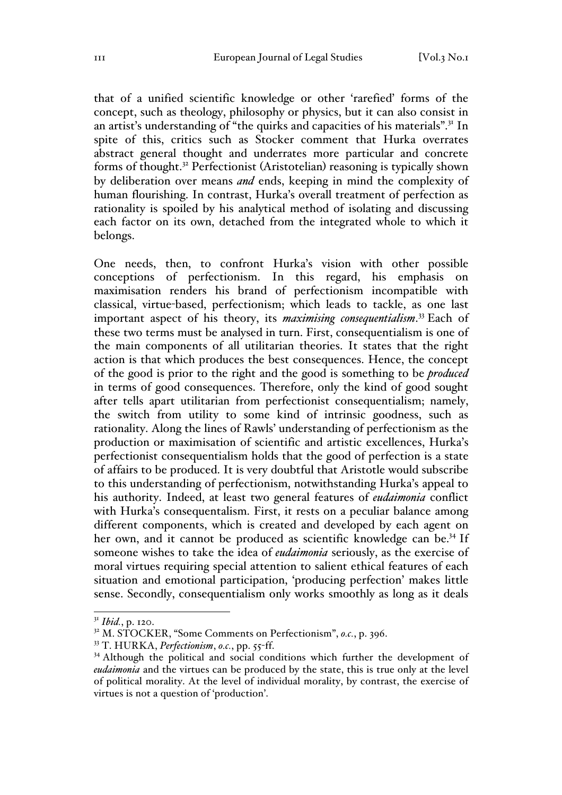that of a unified scientific knowledge or other 'rarefied' forms of the concept, such as theology, philosophy or physics, but it can also consist in an artist's understanding of "the quirks and capacities of his materials".<sup>31</sup> In spite of this, critics such as Stocker comment that Hurka overrates abstract general thought and underrates more particular and concrete forms of thought.<sup>32</sup> Perfectionist (Aristotelian) reasoning is typically shown by deliberation over means *and* ends, keeping in mind the complexity of human flourishing. In contrast, Hurka's overall treatment of perfection as rationality is spoiled by his analytical method of isolating and discussing each factor on its own, detached from the integrated whole to which it belongs.

One needs, then, to confront Hurka's vision with other possible conceptions of perfectionism. In this regard, his emphasis on maximisation renders his brand of perfectionism incompatible with classical, virtue-based, perfectionism; which leads to tackle, as one last important aspect of his theory, its *maximising consequentialism*. <sup>33</sup> Each of these two terms must be analysed in turn. First, consequentialism is one of the main components of all utilitarian theories. It states that the right action is that which produces the best consequences. Hence, the concept of the good is prior to the right and the good is something to be *produced* in terms of good consequences. Therefore, only the kind of good sought after tells apart utilitarian from perfectionist consequentialism; namely, the switch from utility to some kind of intrinsic goodness, such as rationality. Along the lines of Rawls' understanding of perfectionism as the production or maximisation of scientific and artistic excellences, Hurka's perfectionist consequentialism holds that the good of perfection is a state of affairs to be produced. It is very doubtful that Aristotle would subscribe to this understanding of perfectionism, notwithstanding Hurka's appeal to his authority. Indeed, at least two general features of *eudaimonia* conflict with Hurka's consequentalism. First, it rests on a peculiar balance among different components, which is created and developed by each agent on her own, and it cannot be produced as scientific knowledge can be.<sup>34</sup> If someone wishes to take the idea of *eudaimonia* seriously, as the exercise of moral virtues requiring special attention to salient ethical features of each situation and emotional participation, 'producing perfection' makes little sense. Secondly, consequentialism only works smoothly as long as it deals

 <sup>31</sup> *Ibid.*, p. 120.

<sup>32</sup> M. STOCKER, "Some Comments on Perfectionism", *o.c.*, p. 396.

<sup>33</sup> T. HURKA, *Perfectionism*, *o.c.*, pp. 55-ff.

<sup>&</sup>lt;sup>34</sup> Although the political and social conditions which further the development of *eudaimonia* and the virtues can be produced by the state, this is true only at the level of political morality. At the level of individual morality, by contrast, the exercise of virtues is not a question of 'production'.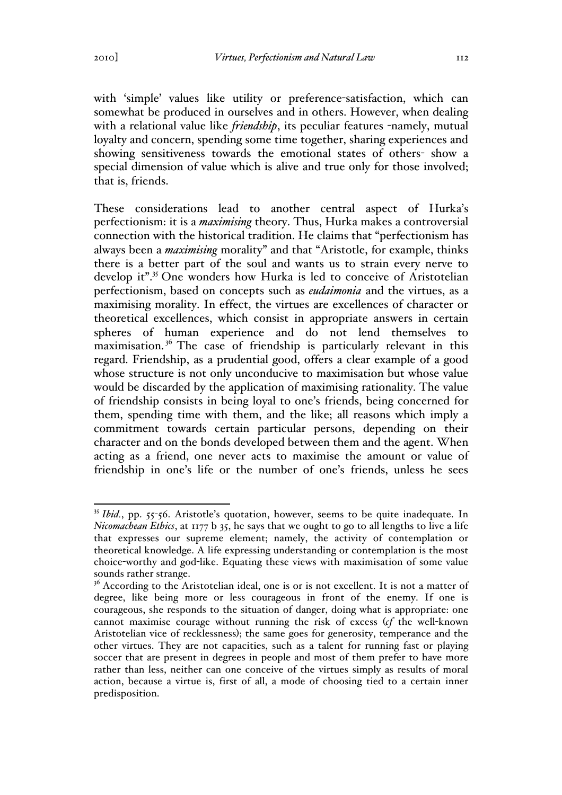with 'simple' values like utility or preference-satisfaction, which can somewhat be produced in ourselves and in others. However, when dealing with a relational value like *friendship*, its peculiar features -namely, mutual loyalty and concern, spending some time together, sharing experiences and showing sensitiveness towards the emotional states of others- show a special dimension of value which is alive and true only for those involved; that is, friends.

These considerations lead to another central aspect of Hurka's perfectionism: it is a *maximising* theory. Thus, Hurka makes a controversial connection with the historical tradition. He claims that "perfectionism has always been a *maximising* morality" and that "Aristotle, for example, thinks there is a better part of the soul and wants us to strain every nerve to develop it".<sup>35</sup> One wonders how Hurka is led to conceive of Aristotelian perfectionism, based on concepts such as *eudaimonia* and the virtues, as a maximising morality. In effect, the virtues are excellences of character or theoretical excellences, which consist in appropriate answers in certain spheres of human experience and do not lend themselves to maximisation.<sup>36</sup> The case of friendship is particularly relevant in this regard. Friendship, as a prudential good, offers a clear example of a good whose structure is not only unconducive to maximisation but whose value would be discarded by the application of maximising rationality. The value of friendship consists in being loyal to one's friends, being concerned for them, spending time with them, and the like; all reasons which imply a commitment towards certain particular persons, depending on their character and on the bonds developed between them and the agent. When acting as a friend, one never acts to maximise the amount or value of friendship in one's life or the number of one's friends, unless he sees

<sup>&</sup>lt;sup>35</sup> *Ibid.*, pp. 55-56. Aristotle's quotation, however, seems to be quite inadequate. In *Nicomachean Ethics*, at 1177 b 35, he says that we ought to go to all lengths to live a life that expresses our supreme element; namely, the activity of contemplation or theoretical knowledge. A life expressing understanding or contemplation is the most choice-worthy and god-like. Equating these views with maximisation of some value sounds rather strange.

<sup>&</sup>lt;sup>36</sup> According to the Aristotelian ideal, one is or is not excellent. It is not a matter of degree, like being more or less courageous in front of the enemy. If one is courageous, she responds to the situation of danger, doing what is appropriate: one cannot maximise courage without running the risk of excess (*cf* the well-known Aristotelian vice of recklessness); the same goes for generosity, temperance and the other virtues. They are not capacities, such as a talent for running fast or playing soccer that are present in degrees in people and most of them prefer to have more rather than less, neither can one conceive of the virtues simply as results of moral action, because a virtue is, first of all, a mode of choosing tied to a certain inner predisposition.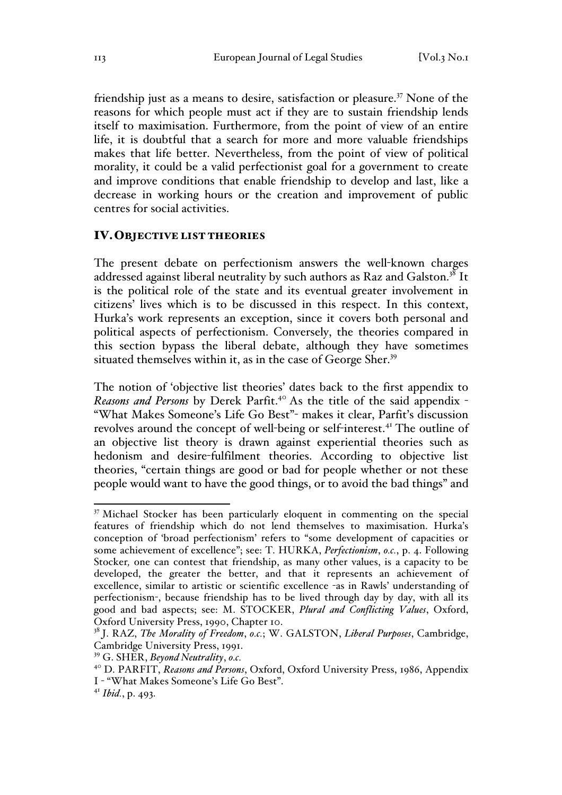friendship just as a means to desire, satisfaction or pleasure.<sup>37</sup> None of the reasons for which people must act if they are to sustain friendship lends itself to maximisation. Furthermore, from the point of view of an entire life, it is doubtful that a search for more and more valuable friendships makes that life better. Nevertheless, from the point of view of political morality, it could be a valid perfectionist goal for a government to create and improve conditions that enable friendship to develop and last, like a decrease in working hours or the creation and improvement of public centres for social activities.

#### IV.OBJECTIVE LIST THEORIES

The present debate on perfectionism answers the well-known charges addressed against liberal neutrality by such authors as Raz and Galston.<sup>38</sup> It is the political role of the state and its eventual greater involvement in citizens' lives which is to be discussed in this respect. In this context, Hurka's work represents an exception, since it covers both personal and political aspects of perfectionism. Conversely, the theories compared in this section bypass the liberal debate, although they have sometimes situated themselves within it, as in the case of George Sher.<sup>39</sup>

The notion of 'objective list theories' dates back to the first appendix to *Reasons and Persons* by Derek Parfit.40 As the title of the said appendix - "What Makes Someone's Life Go Best"- makes it clear, Parfit's discussion revolves around the concept of well-being or self-interest.<sup>41</sup> The outline of an objective list theory is drawn against experiential theories such as hedonism and desire-fulfilment theories. According to objective list theories, "certain things are good or bad for people whether or not these people would want to have the good things, or to avoid the bad things" and

<sup>&</sup>lt;sup>37</sup> Michael Stocker has been particularly eloquent in commenting on the special features of friendship which do not lend themselves to maximisation. Hurka's conception of 'broad perfectionism' refers to "some development of capacities or some achievement of excellence"; see: T. HURKA, *Perfectionism*, *o.c.*, p. 4. Following Stocker*,* one can contest that friendship, as many other values, is a capacity to be developed, the greater the better, and that it represents an achievement of excellence, similar to artistic or scientific excellence -as in Rawls' understanding of perfectionism-, because friendship has to be lived through day by day, with all its good and bad aspects; see: M. STOCKER, *Plural and Conflicting Values*, Oxford, Oxford University Press, 1990, Chapter 10.

<sup>38</sup> J. RAZ, *The Morality of Freedom*, *o.c.*; W. GALSTON, *Liberal Purposes*, Cambridge, Cambridge University Press, 1991.

<sup>39</sup> G. SHER, *Beyond Neutrality*, *o.c.*

<sup>40</sup> D. PARFIT, *Reasons and Persons*, Oxford, Oxford University Press, 1986, Appendix

I - "What Makes Someone's Life Go Best".

<sup>41</sup> *Ibid.*, p. 493.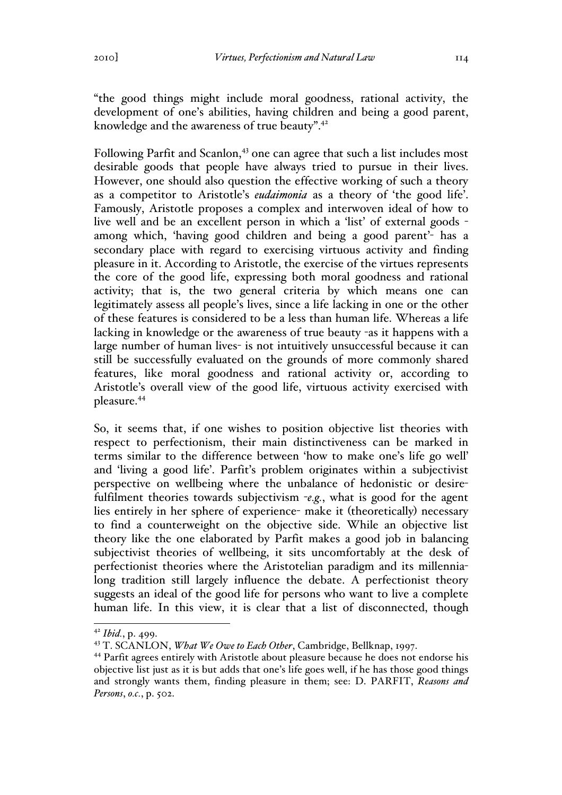"the good things might include moral goodness, rational activity, the development of one's abilities, having children and being a good parent, knowledge and the awareness of true beauty".<sup>42</sup>

Following Parfit and Scanlon,<sup>43</sup> one can agree that such a list includes most desirable goods that people have always tried to pursue in their lives. However, one should also question the effective working of such a theory as a competitor to Aristotle's *eudaimonia* as a theory of 'the good life'. Famously, Aristotle proposes a complex and interwoven ideal of how to live well and be an excellent person in which a 'list' of external goods among which, 'having good children and being a good parent'- has a secondary place with regard to exercising virtuous activity and finding pleasure in it. According to Aristotle, the exercise of the virtues represents the core of the good life, expressing both moral goodness and rational activity; that is, the two general criteria by which means one can legitimately assess all people's lives, since a life lacking in one or the other of these features is considered to be a less than human life. Whereas a life lacking in knowledge or the awareness of true beauty -as it happens with a large number of human lives- is not intuitively unsuccessful because it can still be successfully evaluated on the grounds of more commonly shared features, like moral goodness and rational activity or, according to Aristotle's overall view of the good life, virtuous activity exercised with pleasure.44

So, it seems that, if one wishes to position objective list theories with respect to perfectionism, their main distinctiveness can be marked in terms similar to the difference between 'how to make one's life go well' and 'living a good life'. Parfit's problem originates within a subjectivist perspective on wellbeing where the unbalance of hedonistic or desirefulfilment theories towards subjectivism -*e.g.*, what is good for the agent lies entirely in her sphere of experience- make it (theoretically) necessary to find a counterweight on the objective side. While an objective list theory like the one elaborated by Parfit makes a good job in balancing subjectivist theories of wellbeing, it sits uncomfortably at the desk of perfectionist theories where the Aristotelian paradigm and its millennialong tradition still largely influence the debate. A perfectionist theory suggests an ideal of the good life for persons who want to live a complete human life. In this view, it is clear that a list of disconnected, though

 <sup>42</sup> *Ibid.*, p. 499.

<sup>43</sup> T. SCANLON, *What We Owe to Each Other*, Cambridge, Bellknap, 1997.

<sup>44</sup> Parfit agrees entirely with Aristotle about pleasure because he does not endorse his objective list just as it is but adds that one's life goes well, if he has those good things and strongly wants them, finding pleasure in them; see: D. PARFIT, *Reasons and Persons*, *o.c.*, p. 502.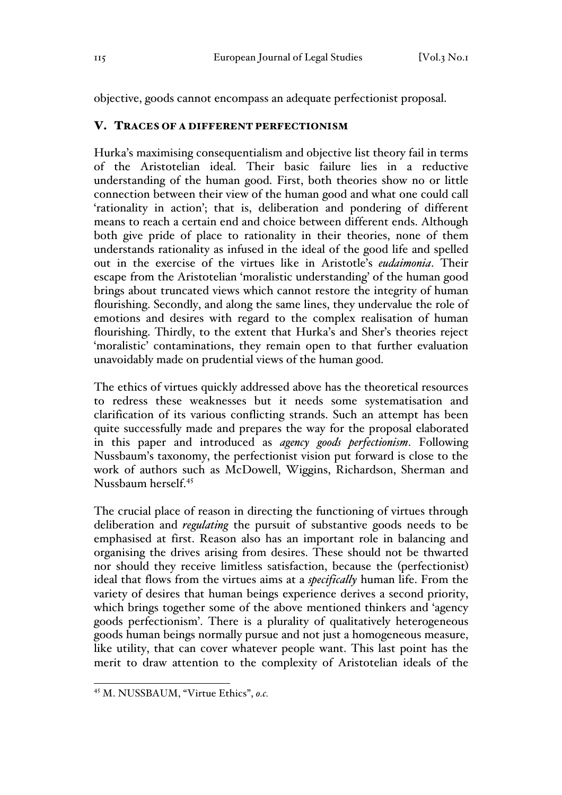objective, goods cannot encompass an adequate perfectionist proposal.

## V. TRACES OF A DIFFERENT PERFECTIONISM

Hurka's maximising consequentialism and objective list theory fail in terms of the Aristotelian ideal. Their basic failure lies in a reductive understanding of the human good. First, both theories show no or little connection between their view of the human good and what one could call 'rationality in action'; that is, deliberation and pondering of different means to reach a certain end and choice between different ends. Although both give pride of place to rationality in their theories, none of them understands rationality as infused in the ideal of the good life and spelled out in the exercise of the virtues like in Aristotle's *eudaimonia*. Their escape from the Aristotelian 'moralistic understanding' of the human good brings about truncated views which cannot restore the integrity of human flourishing. Secondly, and along the same lines, they undervalue the role of emotions and desires with regard to the complex realisation of human flourishing. Thirdly, to the extent that Hurka's and Sher's theories reject 'moralistic' contaminations, they remain open to that further evaluation unavoidably made on prudential views of the human good.

The ethics of virtues quickly addressed above has the theoretical resources to redress these weaknesses but it needs some systematisation and clarification of its various conflicting strands. Such an attempt has been quite successfully made and prepares the way for the proposal elaborated in this paper and introduced as *agency goods perfectionism*. Following Nussbaum's taxonomy, the perfectionist vision put forward is close to the work of authors such as McDowell, Wiggins, Richardson, Sherman and Nussbaum herself.<sup>45</sup>

The crucial place of reason in directing the functioning of virtues through deliberation and *regulating* the pursuit of substantive goods needs to be emphasised at first. Reason also has an important role in balancing and organising the drives arising from desires. These should not be thwarted nor should they receive limitless satisfaction, because the (perfectionist) ideal that flows from the virtues aims at a *specifically* human life. From the variety of desires that human beings experience derives a second priority, which brings together some of the above mentioned thinkers and 'agency goods perfectionism'. There is a plurality of qualitatively heterogeneous goods human beings normally pursue and not just a homogeneous measure, like utility, that can cover whatever people want. This last point has the merit to draw attention to the complexity of Aristotelian ideals of the

 <sup>45</sup> M. NUSSBAUM, "Virtue Ethics", *o.c.*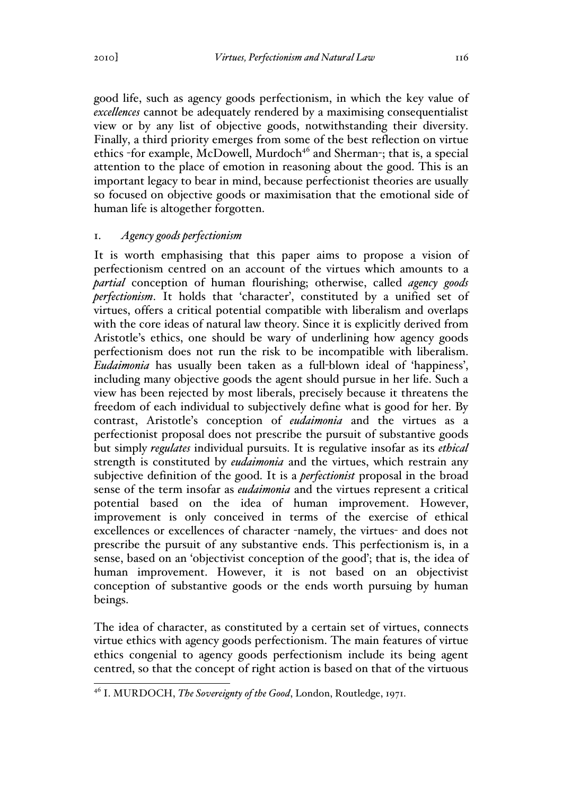good life, such as agency goods perfectionism, in which the key value of *excellences* cannot be adequately rendered by a maximising consequentialist view or by any list of objective goods, notwithstanding their diversity. Finally, a third priority emerges from some of the best reflection on virtue ethics -for example, McDowell, Murdoch<sup>46</sup> and Sherman-; that is, a special attention to the place of emotion in reasoning about the good. This is an important legacy to bear in mind, because perfectionist theories are usually so focused on objective goods or maximisation that the emotional side of human life is altogether forgotten.

## 1. *Agency goods perfectionism*

It is worth emphasising that this paper aims to propose a vision of perfectionism centred on an account of the virtues which amounts to a *partial* conception of human flourishing; otherwise, called *agency goods perfectionism*. It holds that 'character', constituted by a unified set of virtues, offers a critical potential compatible with liberalism and overlaps with the core ideas of natural law theory. Since it is explicitly derived from Aristotle's ethics, one should be wary of underlining how agency goods perfectionism does not run the risk to be incompatible with liberalism. *Eudaimonia* has usually been taken as a full-blown ideal of 'happiness', including many objective goods the agent should pursue in her life. Such a view has been rejected by most liberals, precisely because it threatens the freedom of each individual to subjectively define what is good for her. By contrast, Aristotle's conception of *eudaimonia* and the virtues as a perfectionist proposal does not prescribe the pursuit of substantive goods but simply *regulates* individual pursuits. It is regulative insofar as its *ethical* strength is constituted by *eudaimonia* and the virtues, which restrain any subjective definition of the good. It is a *perfectionist* proposal in the broad sense of the term insofar as *eudaimonia* and the virtues represent a critical potential based on the idea of human improvement. However, improvement is only conceived in terms of the exercise of ethical excellences or excellences of character -namely, the virtues- and does not prescribe the pursuit of any substantive ends. This perfectionism is, in a sense, based on an 'objectivist conception of the good'; that is, the idea of human improvement. However, it is not based on an objectivist conception of substantive goods or the ends worth pursuing by human beings.

The idea of character, as constituted by a certain set of virtues, connects virtue ethics with agency goods perfectionism. The main features of virtue ethics congenial to agency goods perfectionism include its being agent centred, so that the concept of right action is based on that of the virtuous

 <sup>46</sup> I. MURDOCH, *The Sovereignty of the Good*, London, Routledge, 1971.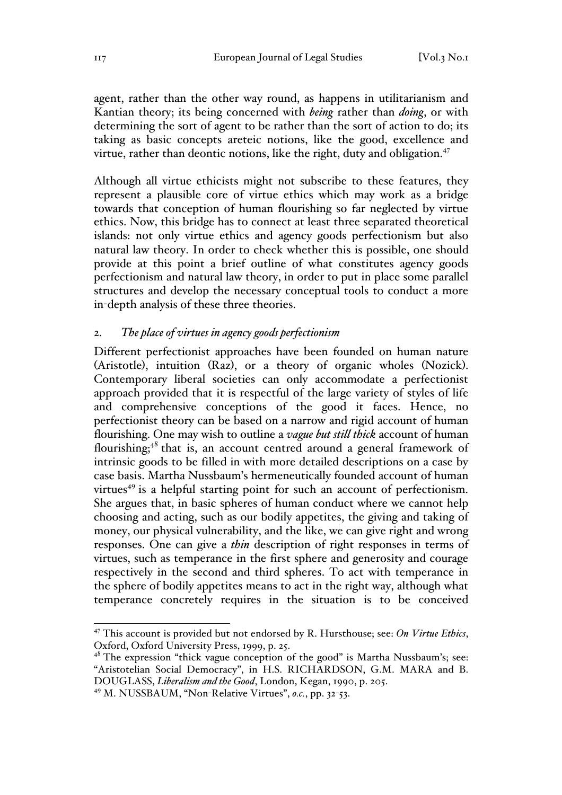agent, rather than the other way round, as happens in utilitarianism and Kantian theory; its being concerned with *being* rather than *doing*, or with determining the sort of agent to be rather than the sort of action to do; its taking as basic concepts areteic notions, like the good, excellence and virtue, rather than deontic notions, like the right, duty and obligation.<sup>47</sup>

Although all virtue ethicists might not subscribe to these features, they represent a plausible core of virtue ethics which may work as a bridge towards that conception of human flourishing so far neglected by virtue ethics. Now, this bridge has to connect at least three separated theoretical islands: not only virtue ethics and agency goods perfectionism but also natural law theory. In order to check whether this is possible, one should provide at this point a brief outline of what constitutes agency goods perfectionism and natural law theory, in order to put in place some parallel structures and develop the necessary conceptual tools to conduct a more in-depth analysis of these three theories.

#### 2. *The place of virtues in agency goods perfectionism*

Different perfectionist approaches have been founded on human nature (Aristotle), intuition (Raz), or a theory of organic wholes (Nozick). Contemporary liberal societies can only accommodate a perfectionist approach provided that it is respectful of the large variety of styles of life and comprehensive conceptions of the good it faces. Hence, no perfectionist theory can be based on a narrow and rigid account of human flourishing. One may wish to outline a *vague but still thick* account of human flourishing; $48$  that is, an account centred around a general framework of intrinsic goods to be filled in with more detailed descriptions on a case by case basis. Martha Nussbaum's hermeneutically founded account of human virtues<sup>49</sup> is a helpful starting point for such an account of perfectionism. She argues that, in basic spheres of human conduct where we cannot help choosing and acting, such as our bodily appetites, the giving and taking of money, our physical vulnerability, and the like, we can give right and wrong responses. One can give a *thin* description of right responses in terms of virtues, such as temperance in the first sphere and generosity and courage respectively in the second and third spheres. To act with temperance in the sphere of bodily appetites means to act in the right way, although what temperance concretely requires in the situation is to be conceived

 <sup>47</sup> This account is provided but not endorsed by R. Hursthouse; see: *On Virtue Ethics*, Oxford, Oxford University Press, 1999, p. 25.

 $48$  The expression "thick vague conception of the good" is Martha Nussbaum's; see: "Aristotelian Social Democracy", in H.S. RICHARDSON, G.M. MARA and B. DOUGLASS, *Liberalism and the Good*, London, Kegan, 1990, p. 205.

<sup>49</sup> M. NUSSBAUM, "Non-Relative Virtues", *o.c.*, pp. 32-53.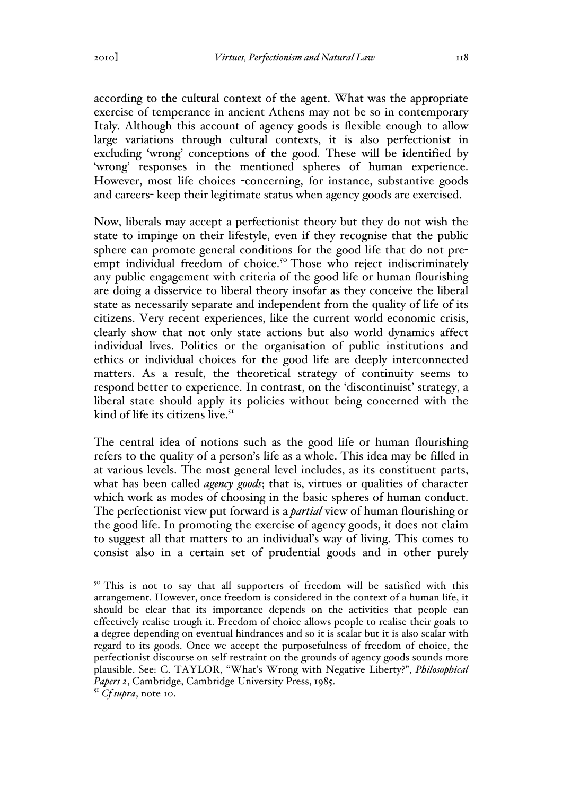according to the cultural context of the agent. What was the appropriate exercise of temperance in ancient Athens may not be so in contemporary Italy. Although this account of agency goods is flexible enough to allow large variations through cultural contexts, it is also perfectionist in excluding 'wrong' conceptions of the good. These will be identified by 'wrong' responses in the mentioned spheres of human experience. However, most life choices -concerning, for instance, substantive goods and careers- keep their legitimate status when agency goods are exercised.

Now, liberals may accept a perfectionist theory but they do not wish the state to impinge on their lifestyle, even if they recognise that the public sphere can promote general conditions for the good life that do not preempt individual freedom of choice.<sup>50</sup> Those who reject indiscriminately any public engagement with criteria of the good life or human flourishing are doing a disservice to liberal theory insofar as they conceive the liberal state as necessarily separate and independent from the quality of life of its citizens. Very recent experiences, like the current world economic crisis, clearly show that not only state actions but also world dynamics affect individual lives. Politics or the organisation of public institutions and ethics or individual choices for the good life are deeply interconnected matters. As a result, the theoretical strategy of continuity seems to respond better to experience. In contrast, on the 'discontinuist' strategy, a liberal state should apply its policies without being concerned with the kind of life its citizens live.<sup>51</sup>

The central idea of notions such as the good life or human flourishing refers to the quality of a person's life as a whole. This idea may be filled in at various levels. The most general level includes, as its constituent parts, what has been called *agency goods*; that is, virtues or qualities of character which work as modes of choosing in the basic spheres of human conduct. The perfectionist view put forward is a *partial* view of human flourishing or the good life. In promoting the exercise of agency goods, it does not claim to suggest all that matters to an individual's way of living. This comes to consist also in a certain set of prudential goods and in other purely

<sup>&</sup>lt;sup>50</sup> This is not to say that all supporters of freedom will be satisfied with this arrangement. However, once freedom is considered in the context of a human life, it should be clear that its importance depends on the activities that people can effectively realise trough it. Freedom of choice allows people to realise their goals to a degree depending on eventual hindrances and so it is scalar but it is also scalar with regard to its goods. Once we accept the purposefulness of freedom of choice, the perfectionist discourse on self-restraint on the grounds of agency goods sounds more plausible. See: C. TAYLOR, "What's Wrong with Negative Liberty?", *Philosophical Papers 2*, Cambridge, Cambridge University Press, 1985.

<sup>51</sup> *Cf supra*, note 10.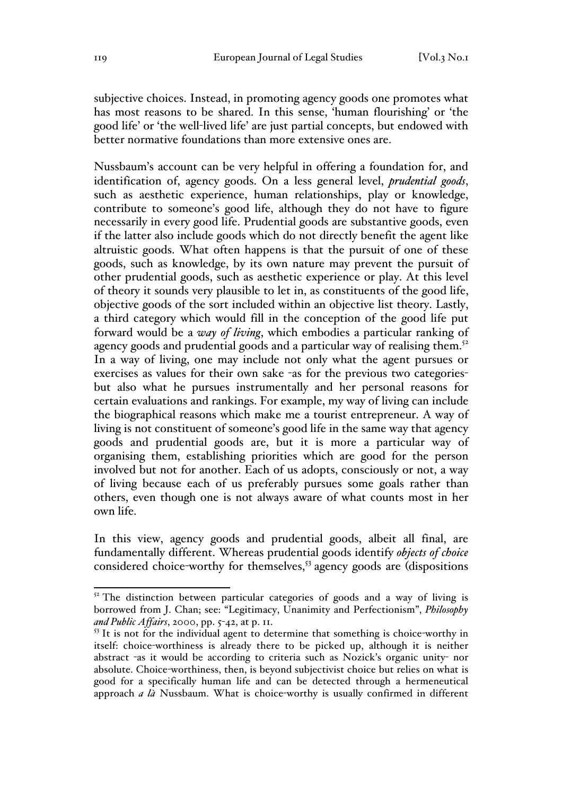subjective choices. Instead, in promoting agency goods one promotes what has most reasons to be shared. In this sense, 'human flourishing' or 'the good life' or 'the well-lived life' are just partial concepts, but endowed with better normative foundations than more extensive ones are.

Nussbaum's account can be very helpful in offering a foundation for, and identification of, agency goods. On a less general level, *prudential goods*, such as aesthetic experience, human relationships, play or knowledge, contribute to someone's good life, although they do not have to figure necessarily in every good life. Prudential goods are substantive goods, even if the latter also include goods which do not directly benefit the agent like altruistic goods. What often happens is that the pursuit of one of these goods, such as knowledge, by its own nature may prevent the pursuit of other prudential goods, such as aesthetic experience or play. At this level of theory it sounds very plausible to let in, as constituents of the good life, objective goods of the sort included within an objective list theory. Lastly, a third category which would fill in the conception of the good life put forward would be a *way of living*, which embodies a particular ranking of agency goods and prudential goods and a particular way of realising them.<sup>52</sup> In a way of living, one may include not only what the agent pursues or exercises as values for their own sake -as for the previous two categoriesbut also what he pursues instrumentally and her personal reasons for certain evaluations and rankings. For example, my way of living can include the biographical reasons which make me a tourist entrepreneur. A way of living is not constituent of someone's good life in the same way that agency goods and prudential goods are, but it is more a particular way of organising them, establishing priorities which are good for the person involved but not for another. Each of us adopts, consciously or not, a way of living because each of us preferably pursues some goals rather than others, even though one is not always aware of what counts most in her own life.

In this view, agency goods and prudential goods, albeit all final, are fundamentally different. Whereas prudential goods identify *objects of choice* considered choice-worthy for themselves, $53$  agency goods are (dispositions

 $52$  The distinction between particular categories of goods and a way of living is borrowed from J. Chan; see: "Legitimacy, Unanimity and Perfectionism", *Philosophy and Public Affairs*, 2000, pp. 5-42, at p. 11.

 $53$  It is not for the individual agent to determine that something is choice-worthy in itself: choice-worthiness is already there to be picked up, although it is neither abstract -as it would be according to criteria such as Nozick's organic unity- nor absolute. Choice-worthiness, then, is beyond subjectivist choice but relies on what is good for a specifically human life and can be detected through a hermeneutical approach *a là* Nussbaum. What is choice-worthy is usually confirmed in different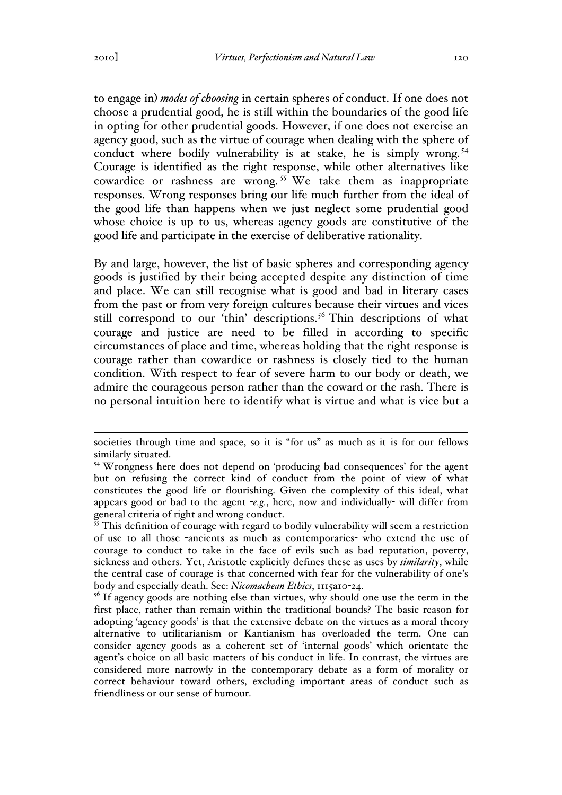to engage in) *modes of choosing* in certain spheres of conduct. If one does not choose a prudential good, he is still within the boundaries of the good life in opting for other prudential goods. However, if one does not exercise an agency good, such as the virtue of courage when dealing with the sphere of conduct where bodily vulnerability is at stake, he is simply wrong.<sup>54</sup> Courage is identified as the right response, while other alternatives like cowardice or rashness are wrong.<sup>55</sup> We take them as inappropriate responses. Wrong responses bring our life much further from the ideal of the good life than happens when we just neglect some prudential good whose choice is up to us, whereas agency goods are constitutive of the good life and participate in the exercise of deliberative rationality.

By and large, however, the list of basic spheres and corresponding agency goods is justified by their being accepted despite any distinction of time and place. We can still recognise what is good and bad in literary cases from the past or from very foreign cultures because their virtues and vices still correspond to our 'thin' descriptions.<sup>56</sup> Thin descriptions of what courage and justice are need to be filled in according to specific circumstances of place and time, whereas holding that the right response is courage rather than cowardice or rashness is closely tied to the human condition. With respect to fear of severe harm to our body or death, we admire the courageous person rather than the coward or the rash. There is no personal intuition here to identify what is virtue and what is vice but a

societies through time and space, so it is "for us" as much as it is for our fellows similarly situated.

<sup>54</sup> Wrongness here does not depend on 'producing bad consequences' for the agent but on refusing the correct kind of conduct from the point of view of what constitutes the good life or flourishing. Given the complexity of this ideal, what appears good or bad to the agent -*e.g.*, here, now and individually- will differ from general criteria of right and wrong conduct.

 $\frac{55}{25}$  This definition of courage with regard to bodily vulnerability will seem a restriction of use to all those -ancients as much as contemporaries- who extend the use of courage to conduct to take in the face of evils such as bad reputation, poverty, sickness and others. Yet, Aristotle explicitly defines these as uses by *similarity*, while the central case of courage is that concerned with fear for the vulnerability of one's body and especially death. See: *Nicomachean Ethics*, 1115a10-24.

<sup>&</sup>lt;sup>56</sup> If agency goods are nothing else than virtues, why should one use the term in the first place, rather than remain within the traditional bounds? The basic reason for adopting 'agency goods' is that the extensive debate on the virtues as a moral theory alternative to utilitarianism or Kantianism has overloaded the term. One can consider agency goods as a coherent set of 'internal goods' which orientate the agent's choice on all basic matters of his conduct in life. In contrast, the virtues are considered more narrowly in the contemporary debate as a form of morality or correct behaviour toward others, excluding important areas of conduct such as friendliness or our sense of humour.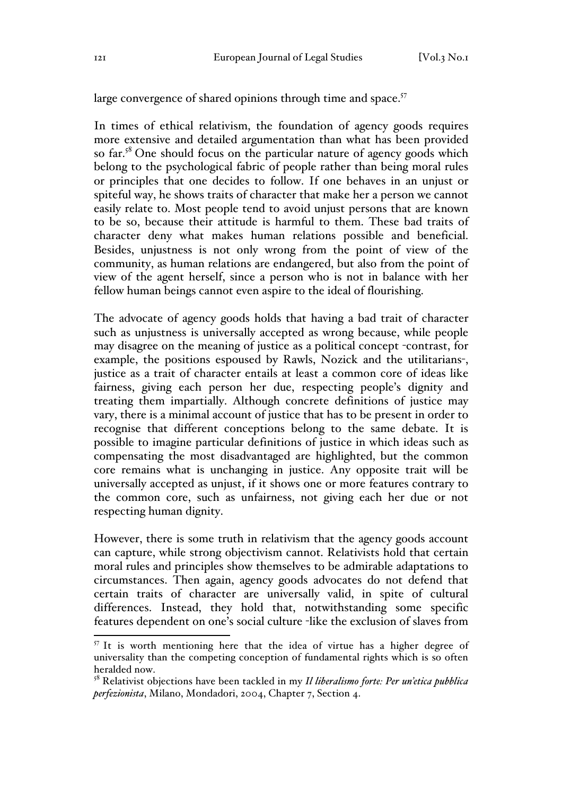large convergence of shared opinions through time and space.<sup>57</sup>

In times of ethical relativism, the foundation of agency goods requires more extensive and detailed argumentation than what has been provided so far. $58$  One should focus on the particular nature of agency goods which belong to the psychological fabric of people rather than being moral rules or principles that one decides to follow. If one behaves in an unjust or spiteful way, he shows traits of character that make her a person we cannot easily relate to. Most people tend to avoid unjust persons that are known to be so, because their attitude is harmful to them. These bad traits of character deny what makes human relations possible and beneficial. Besides, unjustness is not only wrong from the point of view of the community, as human relations are endangered, but also from the point of view of the agent herself, since a person who is not in balance with her fellow human beings cannot even aspire to the ideal of flourishing.

The advocate of agency goods holds that having a bad trait of character such as unjustness is universally accepted as wrong because, while people may disagree on the meaning of justice as a political concept -contrast, for example, the positions espoused by Rawls, Nozick and the utilitarians-, justice as a trait of character entails at least a common core of ideas like fairness, giving each person her due, respecting people's dignity and treating them impartially. Although concrete definitions of justice may vary, there is a minimal account of justice that has to be present in order to recognise that different conceptions belong to the same debate. It is possible to imagine particular definitions of justice in which ideas such as compensating the most disadvantaged are highlighted, but the common core remains what is unchanging in justice. Any opposite trait will be universally accepted as unjust, if it shows one or more features contrary to the common core, such as unfairness, not giving each her due or not respecting human dignity.

However, there is some truth in relativism that the agency goods account can capture, while strong objectivism cannot. Relativists hold that certain moral rules and principles show themselves to be admirable adaptations to circumstances. Then again, agency goods advocates do not defend that certain traits of character are universally valid, in spite of cultural differences. Instead, they hold that, notwithstanding some specific features dependent on one's social culture -like the exclusion of slaves from

 $57$  It is worth mentioning here that the idea of virtue has a higher degree of universality than the competing conception of fundamental rights which is so often heralded now.

<sup>58</sup> Relativist objections have been tackled in my *Il liberalismo forte: Per un'etica pubblica perfezionista*, Milano, Mondadori, 2004, Chapter 7, Section 4.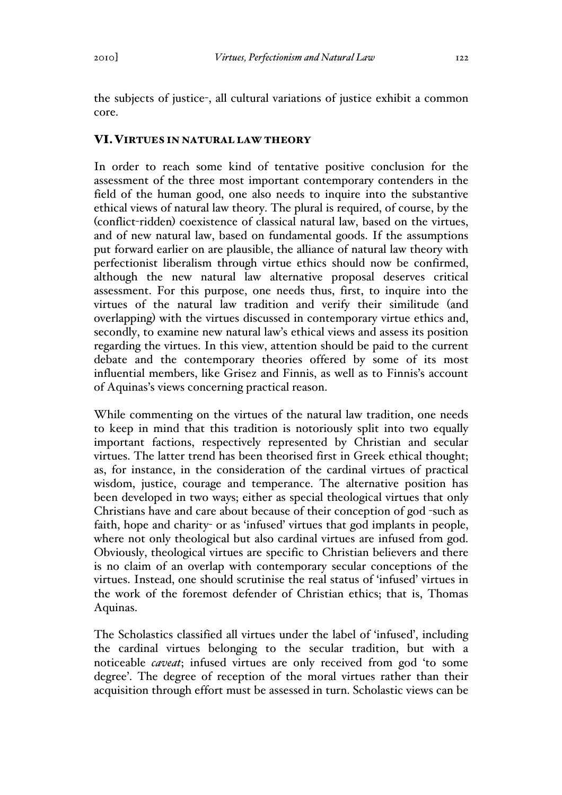the subjects of justice-, all cultural variations of justice exhibit a common core.

#### VI.VIRTUES IN NATURAL LAW THEORY

In order to reach some kind of tentative positive conclusion for the assessment of the three most important contemporary contenders in the field of the human good, one also needs to inquire into the substantive ethical views of natural law theory. The plural is required, of course, by the (conflict-ridden) coexistence of classical natural law, based on the virtues, and of new natural law, based on fundamental goods. If the assumptions put forward earlier on are plausible, the alliance of natural law theory with perfectionist liberalism through virtue ethics should now be confirmed, although the new natural law alternative proposal deserves critical assessment. For this purpose, one needs thus, first, to inquire into the virtues of the natural law tradition and verify their similitude (and overlapping) with the virtues discussed in contemporary virtue ethics and, secondly, to examine new natural law's ethical views and assess its position regarding the virtues. In this view, attention should be paid to the current debate and the contemporary theories offered by some of its most influential members, like Grisez and Finnis, as well as to Finnis's account of Aquinas's views concerning practical reason.

While commenting on the virtues of the natural law tradition, one needs to keep in mind that this tradition is notoriously split into two equally important factions, respectively represented by Christian and secular virtues. The latter trend has been theorised first in Greek ethical thought; as, for instance, in the consideration of the cardinal virtues of practical wisdom, justice, courage and temperance. The alternative position has been developed in two ways; either as special theological virtues that only Christians have and care about because of their conception of god -such as faith, hope and charity- or as 'infused' virtues that god implants in people, where not only theological but also cardinal virtues are infused from god. Obviously, theological virtues are specific to Christian believers and there is no claim of an overlap with contemporary secular conceptions of the virtues. Instead, one should scrutinise the real status of 'infused' virtues in the work of the foremost defender of Christian ethics; that is, Thomas Aquinas.

The Scholastics classified all virtues under the label of 'infused', including the cardinal virtues belonging to the secular tradition, but with a noticeable *caveat*; infused virtues are only received from god 'to some degree'. The degree of reception of the moral virtues rather than their acquisition through effort must be assessed in turn. Scholastic views can be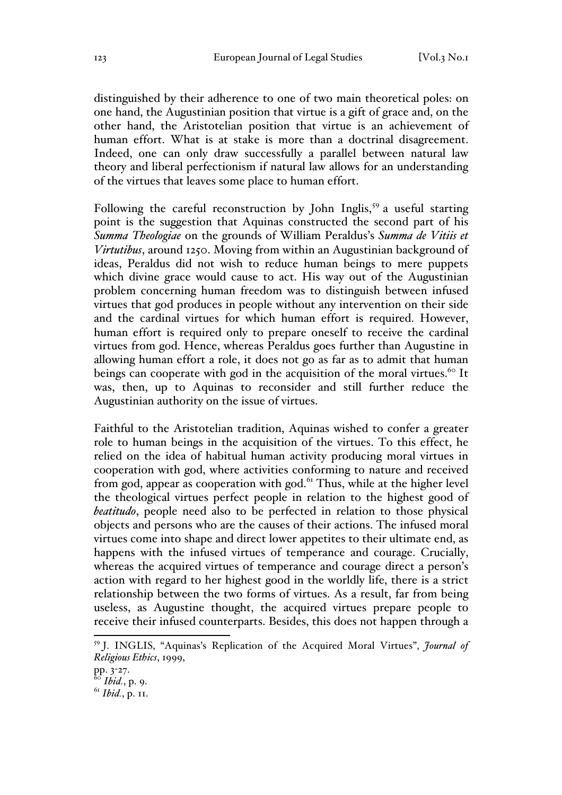distinguished by their adherence to one of two main theoretical poles: on one hand, the Augustinian position that virtue is a gift of grace and, on the other hand, the Aristotelian position that virtue is an achievement of human effort. What is at stake is more than a doctrinal disagreement. Indeed, one can only draw successfully a parallel between natural law theory and liberal perfectionism if natural law allows for an understanding of the virtues that leaves some place to human effort.

Following the careful reconstruction by John Inglis,<sup>59</sup> a useful starting point is the suggestion that Aquinas constructed the second part of his *Summa Theologiae* on the grounds of William Peraldus's *Summa de Vitiis et Virtutibus*, around 1250. Moving from within an Augustinian background of ideas, Peraldus did not wish to reduce human beings to mere puppets which divine grace would cause to act. His way out of the Augustinian problem concerning human freedom was to distinguish between infused virtues that god produces in people without any intervention on their side and the cardinal virtues for which human effort is required. However, human effort is required only to prepare oneself to receive the cardinal virtues from god. Hence, whereas Peraldus goes further than Augustine in allowing human effort a role, it does not go as far as to admit that human beings can cooperate with god in the acquisition of the moral virtues.<sup>60</sup> It was, then, up to Aquinas to reconsider and still further reduce the Augustinian authority on the issue of virtues.

Faithful to the Aristotelian tradition, Aquinas wished to confer a greater role to human beings in the acquisition of the virtues. To this effect, he relied on the idea of habitual human activity producing moral virtues in cooperation with god, where activities conforming to nature and received from god, appear as cooperation with god. $61$  Thus, while at the higher level the theological virtues perfect people in relation to the highest good of *beatitudo*, people need also to be perfected in relation to those physical objects and persons who are the causes of their actions. The infused moral virtues come into shape and direct lower appetites to their ultimate end, as happens with the infused virtues of temperance and courage. Crucially, whereas the acquired virtues of temperance and courage direct a person's action with regard to her highest good in the worldly life, there is a strict relationship between the two forms of virtues. As a result, far from being useless, as Augustine thought, the acquired virtues prepare people to receive their infused counterparts. Besides, this does not happen through a

 <sup>59</sup> J. INGLIS, "Aquinas's Replication of the Acquired Moral Virtues", *Journal of Religious Ethics*, 1999,

pp. 3-27.

*Ibid.*, p. 9.

<sup>61</sup> *Ibid.*, p. 11.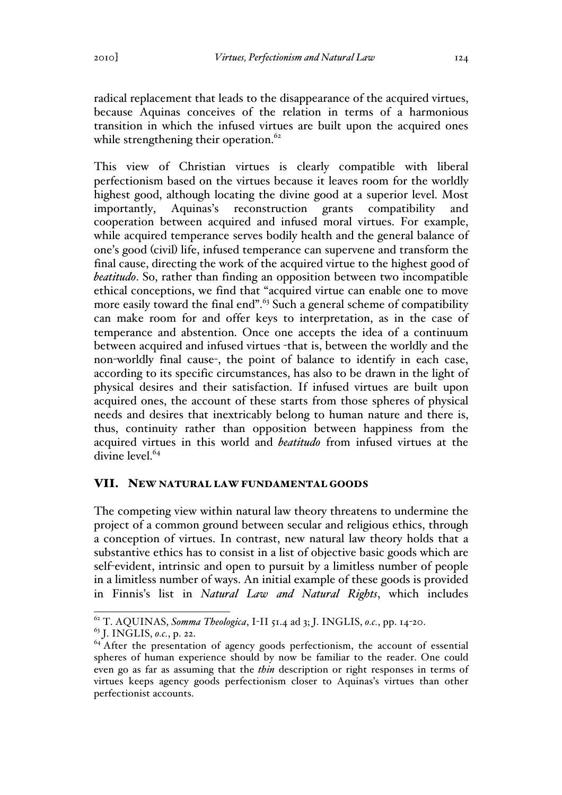radical replacement that leads to the disappearance of the acquired virtues, because Aquinas conceives of the relation in terms of a harmonious transition in which the infused virtues are built upon the acquired ones while strengthening their operation. $62$ 

This view of Christian virtues is clearly compatible with liberal perfectionism based on the virtues because it leaves room for the worldly highest good, although locating the divine good at a superior level. Most importantly, Aquinas's reconstruction grants compatibility and cooperation between acquired and infused moral virtues. For example, while acquired temperance serves bodily health and the general balance of one's good (civil) life, infused temperance can supervene and transform the final cause, directing the work of the acquired virtue to the highest good of *beatitudo*. So, rather than finding an opposition between two incompatible ethical conceptions, we find that "acquired virtue can enable one to move more easily toward the final end".<sup>63</sup> Such a general scheme of compatibility can make room for and offer keys to interpretation, as in the case of temperance and abstention. Once one accepts the idea of a continuum between acquired and infused virtues -that is, between the worldly and the non-worldly final cause-, the point of balance to identify in each case, according to its specific circumstances, has also to be drawn in the light of physical desires and their satisfaction. If infused virtues are built upon acquired ones, the account of these starts from those spheres of physical needs and desires that inextricably belong to human nature and there is, thus, continuity rather than opposition between happiness from the acquired virtues in this world and *beatitudo* from infused virtues at the divine level.<sup>64</sup>

## VII. NEW NATURAL LAW FUNDAMENTAL GOODS

The competing view within natural law theory threatens to undermine the project of a common ground between secular and religious ethics, through a conception of virtues. In contrast, new natural law theory holds that a substantive ethics has to consist in a list of objective basic goods which are self-evident, intrinsic and open to pursuit by a limitless number of people in a limitless number of ways. An initial example of these goods is provided in Finnis's list in *Natural Law and Natural Rights*, which includes

 <sup>62</sup> T. AQUINAS, *Somma Theologica*, I-II 51.4 ad 3; J. INGLIS, *o.c.*, pp. 14-20.

<sup>&</sup>lt;sup>64</sup> After the presentation of agency goods perfectionism, the account of essential spheres of human experience should by now be familiar to the reader. One could even go as far as assuming that the *thin* description or right responses in terms of virtues keeps agency goods perfectionism closer to Aquinas's virtues than other perfectionist accounts.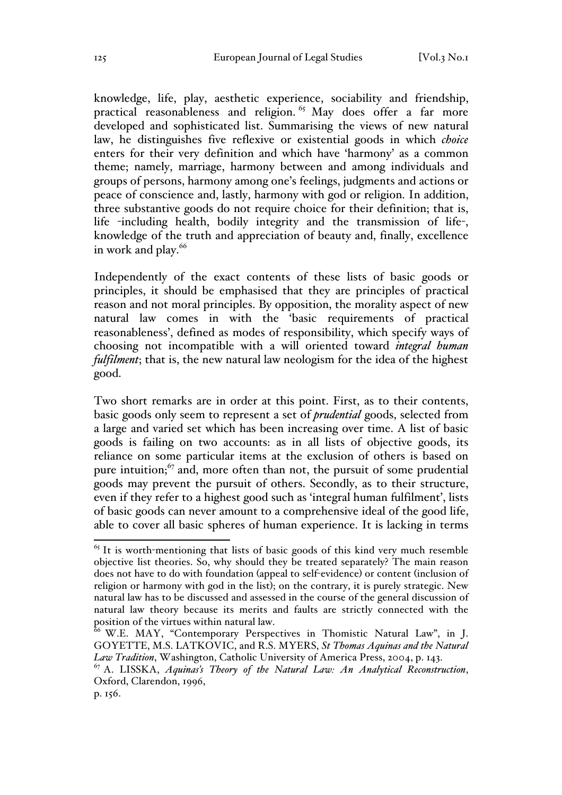knowledge, life, play, aesthetic experience, sociability and friendship, practical reasonableness and religion.<sup>65</sup> May does offer a far more developed and sophisticated list. Summarising the views of new natural law, he distinguishes five reflexive or existential goods in which *choice* enters for their very definition and which have 'harmony' as a common theme; namely, marriage, harmony between and among individuals and groups of persons, harmony among one's feelings, judgments and actions or peace of conscience and, lastly, harmony with god or religion. In addition, three substantive goods do not require choice for their definition; that is, life -including health, bodily integrity and the transmission of life-, knowledge of the truth and appreciation of beauty and, finally, excellence in work and play.<sup>66</sup>

Independently of the exact contents of these lists of basic goods or principles, it should be emphasised that they are principles of practical reason and not moral principles. By opposition, the morality aspect of new natural law comes in with the 'basic requirements of practical reasonableness', defined as modes of responsibility, which specify ways of choosing not incompatible with a will oriented toward *integral human fulfilment*; that is, the new natural law neologism for the idea of the highest good.

Two short remarks are in order at this point. First, as to their contents, basic goods only seem to represent a set of *prudential* goods, selected from a large and varied set which has been increasing over time. A list of basic goods is failing on two accounts: as in all lists of objective goods, its reliance on some particular items at the exclusion of others is based on pure intuition; $67$  and, more often than not, the pursuit of some prudential goods may prevent the pursuit of others. Secondly, as to their structure, even if they refer to a highest good such as 'integral human fulfilment', lists of basic goods can never amount to a comprehensive ideal of the good life, able to cover all basic spheres of human experience. It is lacking in terms

 $<sup>65</sup>$  It is worth-mentioning that lists of basic goods of this kind very much resemble</sup> objective list theories. So, why should they be treated separately? The main reason does not have to do with foundation (appeal to self-evidence) or content (inclusion of religion or harmony with god in the list); on the contrary, it is purely strategic. New natural law has to be discussed and assessed in the course of the general discussion of natural law theory because its merits and faults are strictly connected with the position of the virtues within natural law.

<sup>&</sup>lt;sup>66</sup> W.E. MAY, "Contemporary Perspectives in Thomistic Natural Law", in J. GOYETTE, M.S. LATKOVIC, and R.S. MYERS, *St Thomas Aquinas and the Natural* 

*Law Tradition*, Washington, Catholic University of America Press, 2004, p. 143.<br><sup>67</sup> A. LISSKA, *Aquinas's Theory of the Natural Law: An Analytical Reconstruction*, Oxford, Clarendon, 1996,

p. 156.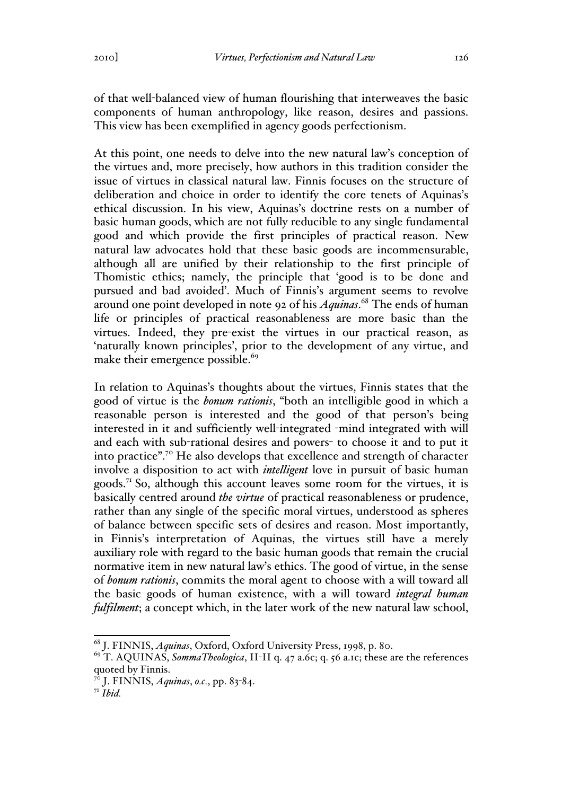of that well-balanced view of human flourishing that interweaves the basic components of human anthropology, like reason, desires and passions. This view has been exemplified in agency goods perfectionism.

At this point, one needs to delve into the new natural law's conception of the virtues and, more precisely, how authors in this tradition consider the issue of virtues in classical natural law. Finnis focuses on the structure of deliberation and choice in order to identify the core tenets of Aquinas's ethical discussion. In his view, Aquinas's doctrine rests on a number of basic human goods, which are not fully reducible to any single fundamental good and which provide the first principles of practical reason. New natural law advocates hold that these basic goods are incommensurable, although all are unified by their relationship to the first principle of Thomistic ethics; namely, the principle that 'good is to be done and pursued and bad avoided'. Much of Finnis's argument seems to revolve around one point developed in note 92 of his *Aquinas*. <sup>68</sup> The ends of human life or principles of practical reasonableness are more basic than the virtues. Indeed, they pre-exist the virtues in our practical reason, as 'naturally known principles', prior to the development of any virtue, and make their emergence possible.<sup>69</sup>

In relation to Aquinas's thoughts about the virtues, Finnis states that the good of virtue is the *bonum rationis*, "both an intelligible good in which a reasonable person is interested and the good of that person's being interested in it and sufficiently well-integrated -mind integrated with will and each with sub-rational desires and powers- to choose it and to put it into practice".<sup>70</sup> He also develops that excellence and strength of character involve a disposition to act with *intelligent* love in pursuit of basic human goods.<sup>71</sup> So, although this account leaves some room for the virtues, it is basically centred around *the virtue* of practical reasonableness or prudence, rather than any single of the specific moral virtues, understood as spheres of balance between specific sets of desires and reason. Most importantly, in Finnis's interpretation of Aquinas, the virtues still have a merely auxiliary role with regard to the basic human goods that remain the crucial normative item in new natural law's ethics. The good of virtue, in the sense of *bonum rationis*, commits the moral agent to choose with a will toward all the basic goods of human existence, with a will toward *integral human fulfilment*; a concept which, in the later work of the new natural law school,

<sup>68</sup> J. FINNIS, *Aquinas*, Oxford, Oxford University Press, 1998, p. 80. <sup>69</sup> T. AQUINAS, *SommaTheologica*, II-II q. 47 a.6c; q. 56 a.1c; these are the references quoted by Finnis.

<sup>70</sup> J. FINNIS, *Aquinas*, *o.c.*, pp. 83-84.

<sup>71</sup> *Ibid.*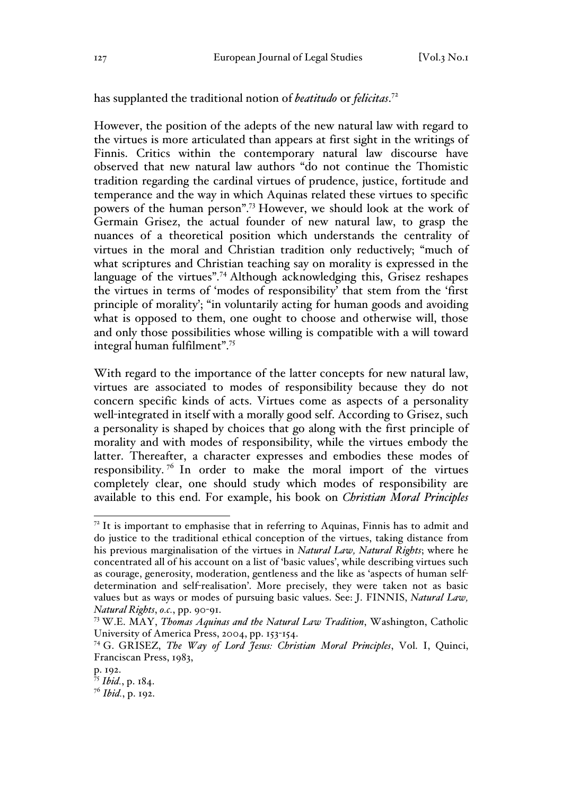has supplanted the traditional notion of *beatitudo* or *felicitas*. 72

However, the position of the adepts of the new natural law with regard to the virtues is more articulated than appears at first sight in the writings of Finnis. Critics within the contemporary natural law discourse have observed that new natural law authors "do not continue the Thomistic tradition regarding the cardinal virtues of prudence, justice, fortitude and temperance and the way in which Aquinas related these virtues to specific powers of the human person".73 However, we should look at the work of Germain Grisez, the actual founder of new natural law, to grasp the nuances of a theoretical position which understands the centrality of virtues in the moral and Christian tradition only reductively; "much of what scriptures and Christian teaching say on morality is expressed in the language of the virtues".<sup>74</sup> Although acknowledging this, Grisez reshapes the virtues in terms of 'modes of responsibility' that stem from the 'first principle of morality'; "in voluntarily acting for human goods and avoiding what is opposed to them, one ought to choose and otherwise will, those and only those possibilities whose willing is compatible with a will toward integral human fulfilment".<sup>75</sup>

With regard to the importance of the latter concepts for new natural law, virtues are associated to modes of responsibility because they do not concern specific kinds of acts. Virtues come as aspects of a personality well-integrated in itself with a morally good self. According to Grisez, such a personality is shaped by choices that go along with the first principle of morality and with modes of responsibility, while the virtues embody the latter. Thereafter, a character expresses and embodies these modes of responsibility.<sup>76</sup> In order to make the moral import of the virtues completely clear, one should study which modes of responsibility are available to this end. For example, his book on *Christian Moral Principles*

 $7<sup>2</sup>$  It is important to emphasise that in referring to Aquinas, Finnis has to admit and do justice to the traditional ethical conception of the virtues, taking distance from his previous marginalisation of the virtues in *Natural Law, Natural Rights*; where he concentrated all of his account on a list of 'basic values', while describing virtues such as courage, generosity, moderation, gentleness and the like as 'aspects of human selfdetermination and self-realisation'. More precisely, they were taken not as basic values but as ways or modes of pursuing basic values. See: J. FINNIS, *Natural Law, Natural Rights*, *o.c.*, pp. 90-91.

<sup>73</sup> W.E. MAY, *Thomas Aquinas and the Natural Law Tradition*, Washington, Catholic University of America Press, 2004, pp. 153-154.

<sup>74</sup> G. GRISEZ, *The Way of Lord Jesus: Christian Moral Principles*, Vol. I, Quinci, Franciscan Press, 1983,

p. 192.

<sup>75</sup> *Ibid.*, p. 184.

<sup>76</sup> *Ibid.*, p. 192.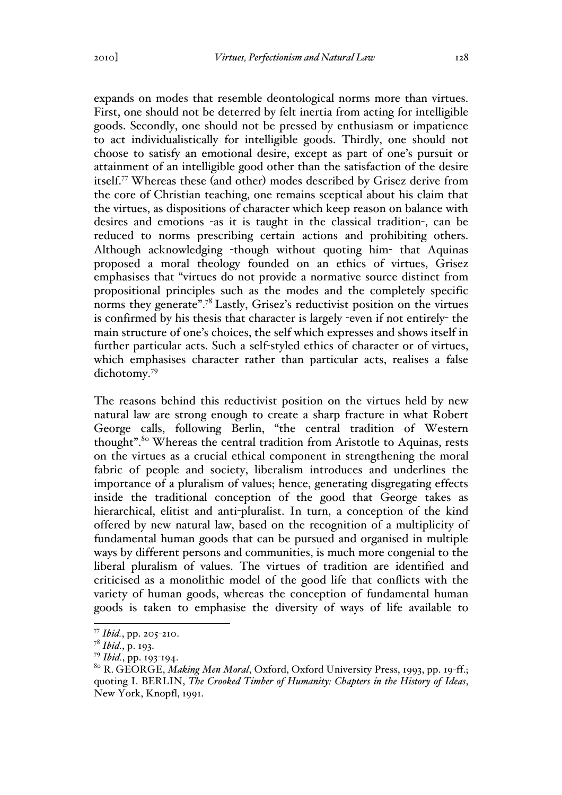expands on modes that resemble deontological norms more than virtues. First, one should not be deterred by felt inertia from acting for intelligible goods. Secondly, one should not be pressed by enthusiasm or impatience to act individualistically for intelligible goods. Thirdly, one should not choose to satisfy an emotional desire, except as part of one's pursuit or attainment of an intelligible good other than the satisfaction of the desire itself.<sup>77</sup> Whereas these (and other) modes described by Grisez derive from the core of Christian teaching, one remains sceptical about his claim that the virtues, as dispositions of character which keep reason on balance with desires and emotions -as it is taught in the classical tradition-, can be reduced to norms prescribing certain actions and prohibiting others. Although acknowledging -though without quoting him- that Aquinas proposed a moral theology founded on an ethics of virtues, Grisez emphasises that "virtues do not provide a normative source distinct from propositional principles such as the modes and the completely specific norms they generate".<sup>78</sup> Lastly, Grisez's reductivist position on the virtues is confirmed by his thesis that character is largely -even if not entirely- the main structure of one's choices, the self which expresses and shows itself in further particular acts. Such a self-styled ethics of character or of virtues, which emphasises character rather than particular acts, realises a false dichotomy.<sup>79</sup>

The reasons behind this reductivist position on the virtues held by new natural law are strong enough to create a sharp fracture in what Robert George calls, following Berlin, "the central tradition of Western thought".<sup>80</sup> Whereas the central tradition from Aristotle to Aquinas, rests on the virtues as a crucial ethical component in strengthening the moral fabric of people and society, liberalism introduces and underlines the importance of a pluralism of values; hence, generating disgregating effects inside the traditional conception of the good that George takes as hierarchical, elitist and anti-pluralist. In turn, a conception of the kind offered by new natural law, based on the recognition of a multiplicity of fundamental human goods that can be pursued and organised in multiple ways by different persons and communities, is much more congenial to the liberal pluralism of values. The virtues of tradition are identified and criticised as a monolithic model of the good life that conflicts with the variety of human goods, whereas the conception of fundamental human goods is taken to emphasise the diversity of ways of life available to

 <sup>77</sup> *Ibid.*, pp. 205-210.

<sup>78</sup> *Ibid.*, p. 193.

<sup>79</sup> *Ibid.*, pp. 193-194.

<sup>80</sup> R. GEORGE, *Making Men Moral*, Oxford, Oxford University Press, 1993, pp. 19-ff.; quoting I. BERLIN, *The Crooked Timber of Humanity: Chapters in the History of Ideas*, New York, Knopfl, 1991.